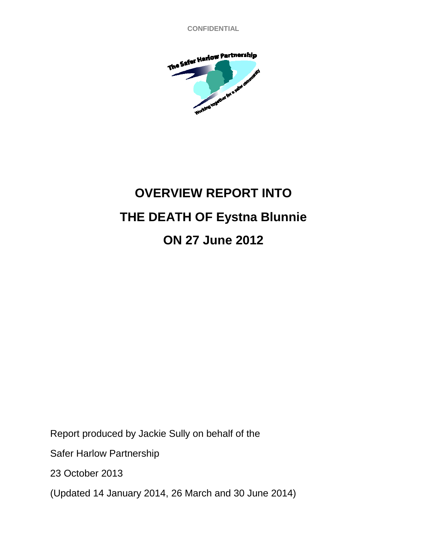**CONFIDENTIAL**



# **OVERVIEW REPORT INTO THE DEATH OF Eystna Blunnie ON 27 June 2012**

Report produced by Jackie Sully on behalf of the

Safer Harlow Partnership

23 October 2013

(Updated 14 January 2014, 26 March and 30 June 2014)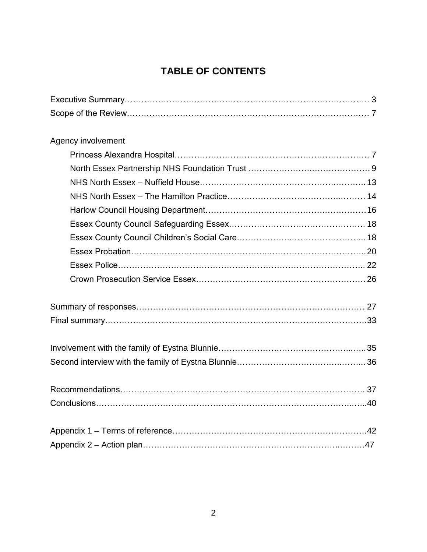# **TABLE OF CONTENTS**

| Agency involvement |  |
|--------------------|--|
|                    |  |
|                    |  |
|                    |  |
|                    |  |
|                    |  |
|                    |  |
|                    |  |
|                    |  |
|                    |  |
|                    |  |
|                    |  |
|                    |  |
|                    |  |
|                    |  |
|                    |  |
|                    |  |
|                    |  |
|                    |  |
|                    |  |
|                    |  |
|                    |  |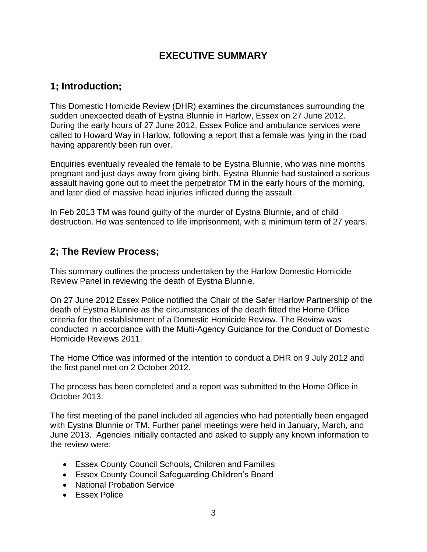### **EXECUTIVE SUMMARY**

### **1; Introduction;**

This Domestic Homicide Review (DHR) examines the circumstances surrounding the sudden unexpected death of Eystna Blunnie in Harlow, Essex on 27 June 2012. During the early hours of 27 June 2012, Essex Police and ambulance services were called to Howard Way in Harlow, following a report that a female was lying in the road having apparently been run over.

Enquiries eventually revealed the female to be Eystna Blunnie, who was nine months pregnant and just days away from giving birth. Eystna Blunnie had sustained a serious assault having gone out to meet the perpetrator TM in the early hours of the morning, and later died of massive head injuries inflicted during the assault.

In Feb 2013 TM was found guilty of the murder of Eystna Blunnie, and of child destruction. He was sentenced to life imprisonment, with a minimum term of 27 years.

### **2; The Review Process;**

This summary outlines the process undertaken by the Harlow Domestic Homicide Review Panel in reviewing the death of Eystna Blunnie.

On 27 June 2012 Essex Police notified the Chair of the Safer Harlow Partnership of the death of Eystna Blunnie as the circumstances of the death fitted the Home Office criteria for the establishment of a Domestic Homicide Review. The Review was conducted in accordance with the Multi-Agency Guidance for the Conduct of Domestic Homicide Reviews 2011.

The Home Office was informed of the intention to conduct a DHR on 9 July 2012 and the first panel met on 2 October 2012.

The process has been completed and a report was submitted to the Home Office in October 2013.

The first meeting of the panel included all agencies who had potentially been engaged with Eystna Blunnie or TM. Further panel meetings were held in January, March, and June 2013. Agencies initially contacted and asked to supply any known information to the review were:

- Essex County Council Schools, Children and Families
- Essex County Council Safeguarding Children's Board
- National Probation Service
- **Essex Police**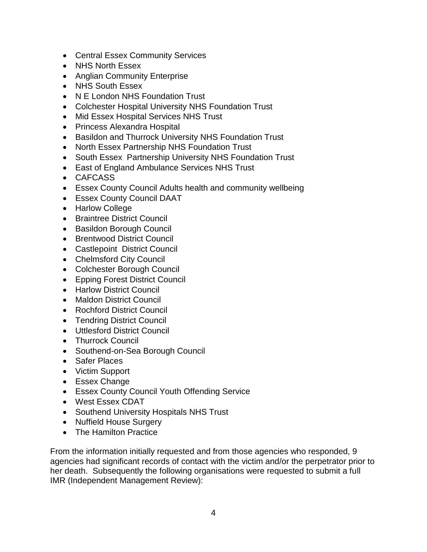- Central Essex Community Services
- NHS North Essex
- Anglian Community Enterprise
- NHS South Essex
- N E London NHS Foundation Trust
- Colchester Hospital University NHS Foundation Trust
- Mid Essex Hospital Services NHS Trust
- Princess Alexandra Hospital
- Basildon and Thurrock University NHS Foundation Trust
- North Essex Partnership NHS Foundation Trust
- South Essex Partnership University NHS Foundation Trust
- East of England Ambulance Services NHS Trust
- CAFCASS
- Essex County Council Adults health and community wellbeing
- Essex County Council DAAT
- Harlow College
- **•** Braintree District Council
- Basildon Borough Council
- Brentwood District Council
- Castlepoint District Council
- Chelmsford City Council
- Colchester Borough Council
- Epping Forest District Council
- Harlow District Council
- Maldon District Council
- Rochford District Council
- Tendring District Council
- Uttlesford District Council
- Thurrock Council
- Southend-on-Sea Borough Council
- Safer Places
- Victim Support
- Essex Change
- Essex County Council Youth Offending Service
- West Essex CDAT
- Southend University Hospitals NHS Trust
- Nuffield House Surgery
- The Hamilton Practice

From the information initially requested and from those agencies who responded, 9 agencies had significant records of contact with the victim and/or the perpetrator prior to her death. Subsequently the following organisations were requested to submit a full IMR (Independent Management Review):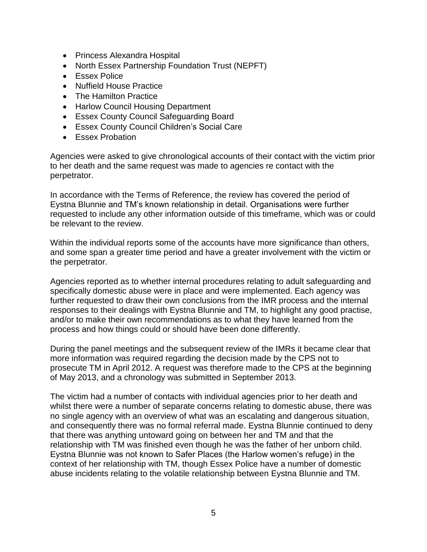- Princess Alexandra Hospital
- North Essex Partnership Foundation Trust (NEPFT)
- Essex Police
- Nuffield House Practice
- The Hamilton Practice
- Harlow Council Housing Department
- Essex County Council Safeguarding Board
- Essex County Council Children's Social Care
- Essex Probation

Agencies were asked to give chronological accounts of their contact with the victim prior to her death and the same request was made to agencies re contact with the perpetrator.

In accordance with the Terms of Reference, the review has covered the period of Eystna Blunnie and TM's known relationship in detail. Organisations were further requested to include any other information outside of this timeframe, which was or could be relevant to the review.

Within the individual reports some of the accounts have more significance than others, and some span a greater time period and have a greater involvement with the victim or the perpetrator.

Agencies reported as to whether internal procedures relating to adult safeguarding and specifically domestic abuse were in place and were implemented. Each agency was further requested to draw their own conclusions from the IMR process and the internal responses to their dealings with Eystna Blunnie and TM, to highlight any good practise, and/or to make their own recommendations as to what they have learned from the process and how things could or should have been done differently.

During the panel meetings and the subsequent review of the IMRs it became clear that more information was required regarding the decision made by the CPS not to prosecute TM in April 2012. A request was therefore made to the CPS at the beginning of May 2013, and a chronology was submitted in September 2013.

The victim had a number of contacts with individual agencies prior to her death and whilst there were a number of separate concerns relating to domestic abuse, there was no single agency with an overview of what was an escalating and dangerous situation, and consequently there was no formal referral made. Eystna Blunnie continued to deny that there was anything untoward going on between her and TM and that the relationship with TM was finished even though he was the father of her unborn child. Eystna Blunnie was not known to Safer Places (the Harlow women's refuge) in the context of her relationship with TM, though Essex Police have a number of domestic abuse incidents relating to the volatile relationship between Eystna Blunnie and TM.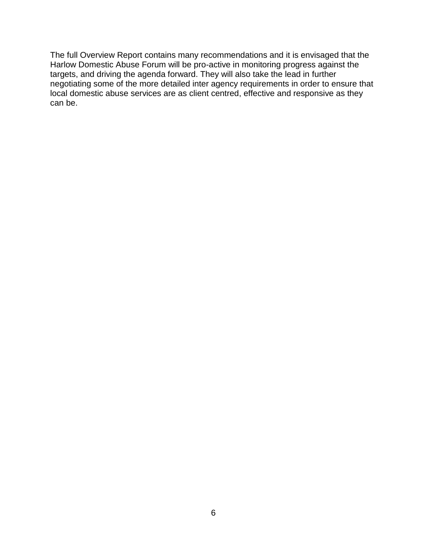The full Overview Report contains many recommendations and it is envisaged that the Harlow Domestic Abuse Forum will be pro-active in monitoring progress against the targets, and driving the agenda forward. They will also take the lead in further negotiating some of the more detailed inter agency requirements in order to ensure that local domestic abuse services are as client centred, effective and responsive as they can be.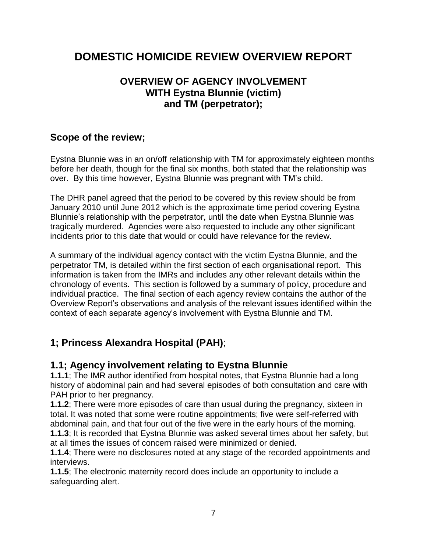# **DOMESTIC HOMICIDE REVIEW OVERVIEW REPORT**

# **OVERVIEW OF AGENCY INVOLVEMENT WITH Eystna Blunnie (victim) and TM (perpetrator);**

# **Scope of the review;**

Eystna Blunnie was in an on/off relationship with TM for approximately eighteen months before her death, though for the final six months, both stated that the relationship was over. By this time however, Eystna Blunnie was pregnant with TM's child.

The DHR panel agreed that the period to be covered by this review should be from January 2010 until June 2012 which is the approximate time period covering Eystna Blunnie's relationship with the perpetrator, until the date when Eystna Blunnie was tragically murdered. Agencies were also requested to include any other significant incidents prior to this date that would or could have relevance for the review.

A summary of the individual agency contact with the victim Eystna Blunnie, and the perpetrator TM, is detailed within the first section of each organisational report. This information is taken from the IMRs and includes any other relevant details within the chronology of events. This section is followed by a summary of policy, procedure and individual practice. The final section of each agency review contains the author of the Overview Report's observations and analysis of the relevant issues identified within the context of each separate agency's involvement with Eystna Blunnie and TM.

# **1; Princess Alexandra Hospital (PAH)**;

### **1.1; Agency involvement relating to Eystna Blunnie**

**1.1.1**; The IMR author identified from hospital notes, that Eystna Blunnie had a long history of abdominal pain and had several episodes of both consultation and care with PAH prior to her pregnancy.

**1.1.2**; There were more episodes of care than usual during the pregnancy, sixteen in total. It was noted that some were routine appointments; five were self-referred with abdominal pain, and that four out of the five were in the early hours of the morning. **1.1.3**; It is recorded that Eystna Blunnie was asked several times about her safety, but

at all times the issues of concern raised were minimized or denied.

**1.1.4**; There were no disclosures noted at any stage of the recorded appointments and interviews.

**1.1.5**; The electronic maternity record does include an opportunity to include a safeguarding alert.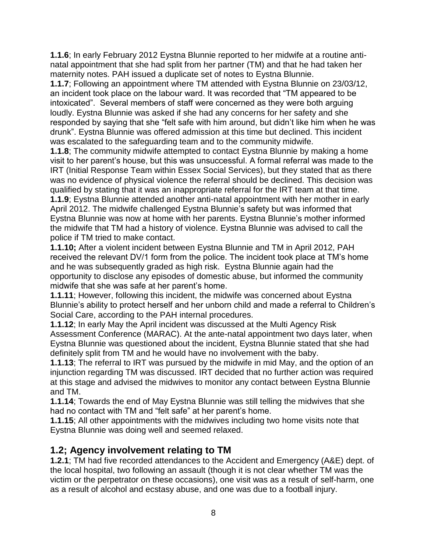**1.1.6**; In early February 2012 Eystna Blunnie reported to her midwife at a routine antinatal appointment that she had split from her partner (TM) and that he had taken her maternity notes. PAH issued a duplicate set of notes to Eystna Blunnie.

**1.1.7**; Following an appointment where TM attended with Eystna Blunnie on 23/03/12, an incident took place on the labour ward. It was recorded that "TM appeared to be intoxicated". Several members of staff were concerned as they were both arguing loudly. Eystna Blunnie was asked if she had any concerns for her safety and she responded by saying that she "felt safe with him around, but didn't like him when he was drunk". Eystna Blunnie was offered admission at this time but declined. This incident was escalated to the safeguarding team and to the community midwife.

**1.1.8**; The community midwife attempted to contact Eystna Blunnie by making a home visit to her parent's house, but this was unsuccessful. A formal referral was made to the IRT (Initial Response Team within Essex Social Services), but they stated that as there was no evidence of physical violence the referral should be declined. This decision was qualified by stating that it was an inappropriate referral for the IRT team at that time.

**1.1.9**; Eystna Blunnie attended another anti-natal appointment with her mother in early April 2012. The midwife challenged Eystna Blunnie's safety but was informed that Eystna Blunnie was now at home with her parents. Eystna Blunnie's mother informed the midwife that TM had a history of violence. Eystna Blunnie was advised to call the police if TM tried to make contact.

**1.1.10;** After a violent incident between Eystna Blunnie and TM in April 2012, PAH received the relevant DV/1 form from the police. The incident took place at TM's home and he was subsequently graded as high risk. Eystna Blunnie again had the opportunity to disclose any episodes of domestic abuse, but informed the community midwife that she was safe at her parent's home.

**1.1.11**; However, following this incident, the midwife was concerned about Eystna Blunnie's ability to protect herself and her unborn child and made a referral to Children's Social Care, according to the PAH internal procedures.

**1.1.12**; In early May the April incident was discussed at the Multi Agency Risk Assessment Conference (MARAC). At the ante-natal appointment two days later, when Eystna Blunnie was questioned about the incident, Eystna Blunnie stated that she had definitely split from TM and he would have no involvement with the baby.

**1.1.13**; The referral to IRT was pursued by the midwife in mid May, and the option of an injunction regarding TM was discussed. IRT decided that no further action was required at this stage and advised the midwives to monitor any contact between Eystna Blunnie and TM.

**1.1.14**; Towards the end of May Eystna Blunnie was still telling the midwives that she had no contact with TM and "felt safe" at her parent's home.

**1.1.15**; All other appointments with the midwives including two home visits note that Eystna Blunnie was doing well and seemed relaxed.

# **1.2; Agency involvement relating to TM**

**1.2.1**; TM had five recorded attendances to the Accident and Emergency (A&E) dept. of the local hospital, two following an assault (though it is not clear whether TM was the victim or the perpetrator on these occasions), one visit was as a result of self-harm, one as a result of alcohol and ecstasy abuse, and one was due to a football injury.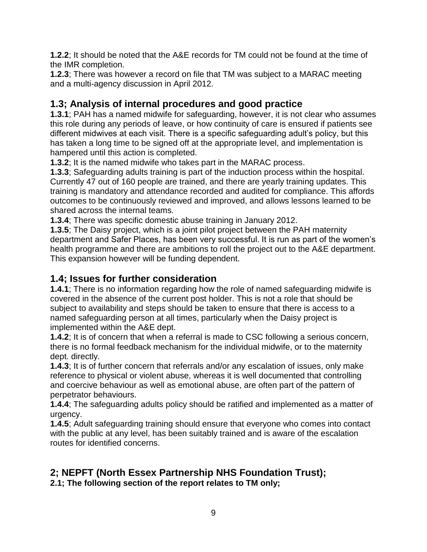**1.2.2**; It should be noted that the A&E records for TM could not be found at the time of the IMR completion.

**1.2.3**; There was however a record on file that TM was subject to a MARAC meeting and a multi-agency discussion in April 2012.

# **1.3; Analysis of internal procedures and good practice**

**1.3.1**; PAH has a named midwife for safeguarding, however, it is not clear who assumes this role during any periods of leave, or how continuity of care is ensured if patients see different midwives at each visit. There is a specific safeguarding adult's policy, but this has taken a long time to be signed off at the appropriate level, and implementation is hampered until this action is completed.

**1.3.2**; It is the named midwife who takes part in the MARAC process.

**1.3.3**; Safeguarding adults training is part of the induction process within the hospital. Currently 47 out of 160 people are trained, and there are yearly training updates. This training is mandatory and attendance recorded and audited for compliance. This affords outcomes to be continuously reviewed and improved, and allows lessons learned to be shared across the internal teams.

**1.3.4**; There was specific domestic abuse training in January 2012.

**1.3.5**; The Daisy project, which is a joint pilot project between the PAH maternity department and Safer Places, has been very successful. It is run as part of the women's health programme and there are ambitions to roll the project out to the A&E department. This expansion however will be funding dependent.

### **1.4; Issues for further consideration**

**1.4.1**; There is no information regarding how the role of named safeguarding midwife is covered in the absence of the current post holder. This is not a role that should be subject to availability and steps should be taken to ensure that there is access to a named safeguarding person at all times, particularly when the Daisy project is implemented within the A&E dept.

**1.4.2**; It is of concern that when a referral is made to CSC following a serious concern, there is no formal feedback mechanism for the individual midwife, or to the maternity dept. directly.

**1.4.3**; It is of further concern that referrals and/or any escalation of issues, only make reference to physical or violent abuse, whereas it is well documented that controlling and coercive behaviour as well as emotional abuse, are often part of the pattern of perpetrator behaviours.

**1.4.4**; The safeguarding adults policy should be ratified and implemented as a matter of urgency.

**1.4.5**; Adult safeguarding training should ensure that everyone who comes into contact with the public at any level, has been suitably trained and is aware of the escalation routes for identified concerns.

# **2; NEPFT (North Essex Partnership NHS Foundation Trust);**

**2.1; The following section of the report relates to TM only;**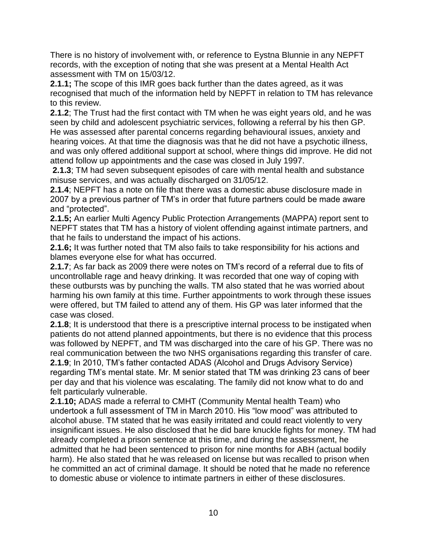There is no history of involvement with, or reference to Eystna Blunnie in any NEPFT records, with the exception of noting that she was present at a Mental Health Act assessment with TM on 15/03/12.

**2.1.1;** The scope of this IMR goes back further than the dates agreed, as it was recognised that much of the information held by NEPFT in relation to TM has relevance to this review.

**2.1.2**; The Trust had the first contact with TM when he was eight years old, and he was seen by child and adolescent psychiatric services, following a referral by his then GP. He was assessed after parental concerns regarding behavioural issues, anxiety and hearing voices. At that time the diagnosis was that he did not have a psychotic illness, and was only offered additional support at school, where things did improve. He did not attend follow up appointments and the case was closed in July 1997.

**2.1.3**; TM had seven subsequent episodes of care with mental health and substance misuse services, and was actually discharged on 31/05/12.

**2.1.4**; NEPFT has a note on file that there was a domestic abuse disclosure made in 2007 by a previous partner of TM's in order that future partners could be made aware and "protected".

**2.1.5;** An earlier Multi Agency Public Protection Arrangements (MAPPA) report sent to NEPFT states that TM has a history of violent offending against intimate partners, and that he fails to understand the impact of his actions.

**2.1.6;** It was further noted that TM also fails to take responsibility for his actions and blames everyone else for what has occurred.

**2.1.7**; As far back as 2009 there were notes on TM's record of a referral due to fits of uncontrollable rage and heavy drinking. It was recorded that one way of coping with these outbursts was by punching the walls. TM also stated that he was worried about harming his own family at this time. Further appointments to work through these issues were offered, but TM failed to attend any of them. His GP was later informed that the case was closed.

**2.1.8**; It is understood that there is a prescriptive internal process to be instigated when patients do not attend planned appointments, but there is no evidence that this process was followed by NEPFT, and TM was discharged into the care of his GP. There was no real communication between the two NHS organisations regarding this transfer of care. **2.1.9**; In 2010, TM's father contacted ADAS (Alcohol and Drugs Advisory Service) regarding TM's mental state. Mr. M senior stated that TM was drinking 23 cans of beer

per day and that his violence was escalating. The family did not know what to do and felt particularly vulnerable.

**2.1.10;** ADAS made a referral to CMHT (Community Mental health Team) who undertook a full assessment of TM in March 2010. His "low mood" was attributed to alcohol abuse. TM stated that he was easily irritated and could react violently to very insignificant issues. He also disclosed that he did bare knuckle fights for money. TM had already completed a prison sentence at this time, and during the assessment, he admitted that he had been sentenced to prison for nine months for ABH (actual bodily harm). He also stated that he was released on license but was recalled to prison when he committed an act of criminal damage. It should be noted that he made no reference to domestic abuse or violence to intimate partners in either of these disclosures.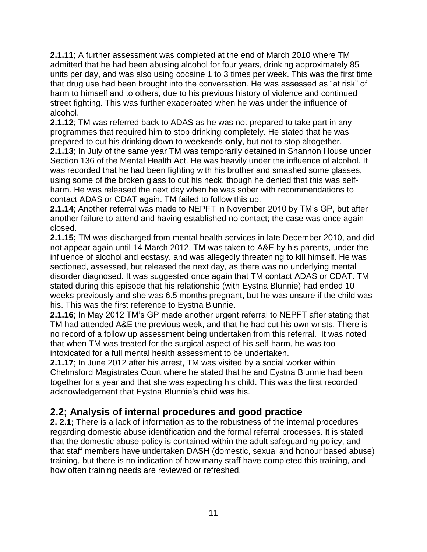**2.1.11**; A further assessment was completed at the end of March 2010 where TM admitted that he had been abusing alcohol for four years, drinking approximately 85 units per day, and was also using cocaine 1 to 3 times per week. This was the first time that drug use had been brought into the conversation. He was assessed as "at risk" of harm to himself and to others, due to his previous history of violence and continued street fighting. This was further exacerbated when he was under the influence of alcohol.

**2.1.12**; TM was referred back to ADAS as he was not prepared to take part in any programmes that required him to stop drinking completely. He stated that he was prepared to cut his drinking down to weekends **only**, but not to stop altogether.

**2.1.13**; In July of the same year TM was temporarily detained in Shannon House under Section 136 of the Mental Health Act. He was heavily under the influence of alcohol. It was recorded that he had been fighting with his brother and smashed some glasses, using some of the broken glass to cut his neck, though he denied that this was selfharm. He was released the next day when he was sober with recommendations to contact ADAS or CDAT again. TM failed to follow this up.

**2.1.14**; Another referral was made to NEPFT in November 2010 by TM's GP, but after another failure to attend and having established no contact; the case was once again closed.

**2.1.15;** TM was discharged from mental health services in late December 2010, and did not appear again until 14 March 2012. TM was taken to A&E by his parents, under the influence of alcohol and ecstasy, and was allegedly threatening to kill himself. He was sectioned, assessed, but released the next day, as there was no underlying mental disorder diagnosed. It was suggested once again that TM contact ADAS or CDAT. TM stated during this episode that his relationship (with Eystna Blunnie) had ended 10 weeks previously and she was 6.5 months pregnant, but he was unsure if the child was his. This was the first reference to Eystna Blunnie.

**2.1.16**; In May 2012 TM's GP made another urgent referral to NEPFT after stating that TM had attended A&E the previous week, and that he had cut his own wrists. There is no record of a follow up assessment being undertaken from this referral. It was noted that when TM was treated for the surgical aspect of his self-harm, he was too intoxicated for a full mental health assessment to be undertaken.

**2.1.17**; In June 2012 after his arrest, TM was visited by a social worker within Chelmsford Magistrates Court where he stated that he and Eystna Blunnie had been together for a year and that she was expecting his child. This was the first recorded acknowledgement that Eystna Blunnie's child was his.

### **2.2; Analysis of internal procedures and good practice**

**2. 2.1;** There is a lack of information as to the robustness of the internal procedures regarding domestic abuse identification and the formal referral processes. It is stated that the domestic abuse policy is contained within the adult safeguarding policy, and that staff members have undertaken DASH (domestic, sexual and honour based abuse) training, but there is no indication of how many staff have completed this training, and how often training needs are reviewed or refreshed.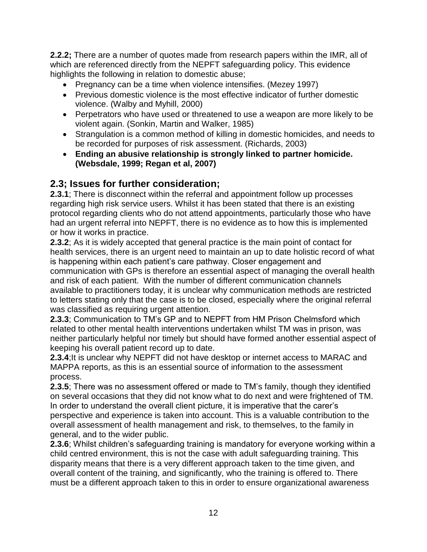**2.2.2;** There are a number of quotes made from research papers within the IMR, all of which are referenced directly from the NEPFT safeguarding policy. This evidence highlights the following in relation to domestic abuse;

- Pregnancy can be a time when violence intensifies. (Mezey 1997)
- Previous domestic violence is the most effective indicator of further domestic violence. (Walby and Myhill, 2000)
- Perpetrators who have used or threatened to use a weapon are more likely to be violent again. (Sonkin, Martin and Walker, 1985)
- Strangulation is a common method of killing in domestic homicides, and needs to be recorded for purposes of risk assessment. (Richards, 2003)
- **Ending an abusive relationship is strongly linked to partner homicide. (Websdale, 1999; Regan et al, 2007)**

### **2.3; Issues for further consideration;**

**2.3.1**; There is disconnect within the referral and appointment follow up processes regarding high risk service users. Whilst it has been stated that there is an existing protocol regarding clients who do not attend appointments, particularly those who have had an urgent referral into NEPFT, there is no evidence as to how this is implemented or how it works in practice.

**2.3.2**; As it is widely accepted that general practice is the main point of contact for health services, there is an urgent need to maintain an up to date holistic record of what is happening within each patient's care pathway. Closer engagement and communication with GPs is therefore an essential aspect of managing the overall health and risk of each patient. With the number of different communication channels available to practitioners today, it is unclear why communication methods are restricted to letters stating only that the case is to be closed, especially where the original referral was classified as requiring urgent attention.

**2.3.3**; Communication to TM's GP and to NEPFT from HM Prison Chelmsford which related to other mental health interventions undertaken whilst TM was in prison, was neither particularly helpful nor timely but should have formed another essential aspect of keeping his overall patient record up to date.

**2.3.4**;It is unclear why NEPFT did not have desktop or internet access to MARAC and MAPPA reports, as this is an essential source of information to the assessment process.

**2.3.5**; There was no assessment offered or made to TM's family, though they identified on several occasions that they did not know what to do next and were frightened of TM. In order to understand the overall client picture, it is imperative that the carer's perspective and experience is taken into account. This is a valuable contribution to the overall assessment of health management and risk, to themselves, to the family in general, and to the wider public.

**2.3.6**; Whilst children's safeguarding training is mandatory for everyone working within a child centred environment, this is not the case with adult safeguarding training. This disparity means that there is a very different approach taken to the time given, and overall content of the training, and significantly, who the training is offered to. There must be a different approach taken to this in order to ensure organizational awareness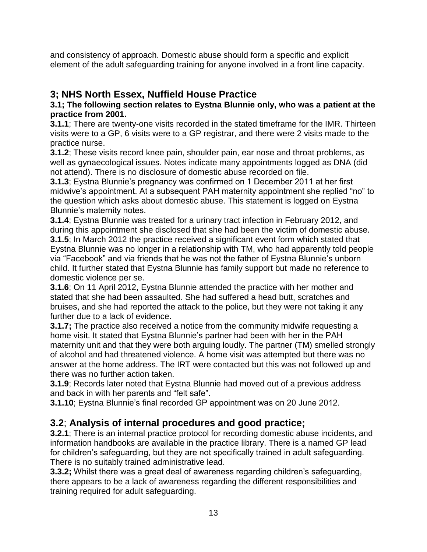and consistency of approach. Domestic abuse should form a specific and explicit element of the adult safeguarding training for anyone involved in a front line capacity.

# **3; NHS North Essex, Nuffield House Practice**

#### **3.1; The following section relates to Eystna Blunnie only, who was a patient at the practice from 2001.**

**3.1.1**; There are twenty-one visits recorded in the stated timeframe for the IMR. Thirteen visits were to a GP, 6 visits were to a GP registrar, and there were 2 visits made to the practice nurse.

**3.1.2**; These visits record knee pain, shoulder pain, ear nose and throat problems, as well as gynaecological issues. Notes indicate many appointments logged as DNA (did not attend). There is no disclosure of domestic abuse recorded on file.

**3.1.3**; Eystna Blunnie's pregnancy was confirmed on 1 December 2011 at her first midwive's appointment. At a subsequent PAH maternity appointment she replied "no" to the question which asks about domestic abuse. This statement is logged on Eystna Blunnie's maternity notes.

**3.1.4**; Eystna Blunnie was treated for a urinary tract infection in February 2012, and during this appointment she disclosed that she had been the victim of domestic abuse. **3.1.5**; In March 2012 the practice received a significant event form which stated that Eystna Blunnie was no longer in a relationship with TM, who had apparently told people via "Facebook" and via friends that he was not the father of Eystna Blunnie's unborn child. It further stated that Eystna Blunnie has family support but made no reference to domestic violence per se.

**3.1.6**; On 11 April 2012, Eystna Blunnie attended the practice with her mother and stated that she had been assaulted. She had suffered a head butt, scratches and bruises, and she had reported the attack to the police, but they were not taking it any further due to a lack of evidence.

**3.1.7;** The practice also received a notice from the community midwife requesting a home visit. It stated that Eystna Blunnie's partner had been with her in the PAH maternity unit and that they were both arguing loudly. The partner (TM) smelled strongly of alcohol and had threatened violence. A home visit was attempted but there was no answer at the home address. The IRT were contacted but this was not followed up and there was no further action taken.

**3.1.9**; Records later noted that Eystna Blunnie had moved out of a previous address and back in with her parents and "felt safe".

**3.1.10**; Eystna Blunnie's final recorded GP appointment was on 20 June 2012.

# **3.2**; **Analysis of internal procedures and good practice;**

**3.2.1**; There is an internal practice protocol for recording domestic abuse incidents, and information handbooks are available in the practice library. There is a named GP lead for children's safeguarding, but they are not specifically trained in adult safeguarding. There is no suitably trained administrative lead.

**3.3.2;** Whilst there was a great deal of awareness regarding children's safeguarding, there appears to be a lack of awareness regarding the different responsibilities and training required for adult safeguarding.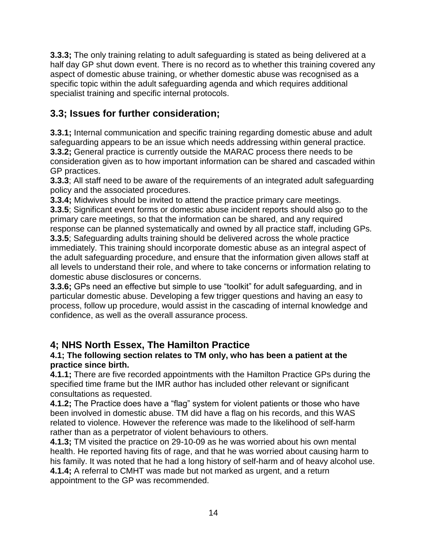**3.3.3;** The only training relating to adult safeguarding is stated as being delivered at a half day GP shut down event. There is no record as to whether this training covered any aspect of domestic abuse training, or whether domestic abuse was recognised as a specific topic within the adult safeguarding agenda and which requires additional specialist training and specific internal protocols.

# **3.3; Issues for further consideration;**

**3.3.1;** Internal communication and specific training regarding domestic abuse and adult safeguarding appears to be an issue which needs addressing within general practice. **3.3.2;** General practice is currently outside the MARAC process there needs to be consideration given as to how important information can be shared and cascaded within GP practices.

**3.3.3**; All staff need to be aware of the requirements of an integrated adult safeguarding policy and the associated procedures.

**3.3.4;** Midwives should be invited to attend the practice primary care meetings.

**3.3.5**; Significant event forms or domestic abuse incident reports should also go to the primary care meetings, so that the information can be shared, and any required response can be planned systematically and owned by all practice staff, including GPs.

**3.3.5**; Safeguarding adults training should be delivered across the whole practice immediately. This training should incorporate domestic abuse as an integral aspect of the adult safeguarding procedure, and ensure that the information given allows staff at all levels to understand their role, and where to take concerns or information relating to domestic abuse disclosures or concerns.

**3.3.6;** GPs need an effective but simple to use "toolkit" for adult safeguarding, and in particular domestic abuse. Developing a few trigger questions and having an easy to process, follow up procedure, would assist in the cascading of internal knowledge and confidence, as well as the overall assurance process.

# **4; NHS North Essex, The Hamilton Practice**

#### **4.1; The following section relates to TM only, who has been a patient at the practice since birth.**

**4.1.1;** There are five recorded appointments with the Hamilton Practice GPs during the specified time frame but the IMR author has included other relevant or significant consultations as requested.

**4.1.2;** The Practice does have a "flag" system for violent patients or those who have been involved in domestic abuse. TM did have a flag on his records, and this WAS related to violence. However the reference was made to the likelihood of self-harm rather than as a perpetrator of violent behaviours to others.

**4.1.3;** TM visited the practice on 29-10-09 as he was worried about his own mental health. He reported having fits of rage, and that he was worried about causing harm to his family. It was noted that he had a long history of self-harm and of heavy alcohol use. **4.1.4;** A referral to CMHT was made but not marked as urgent, and a return appointment to the GP was recommended.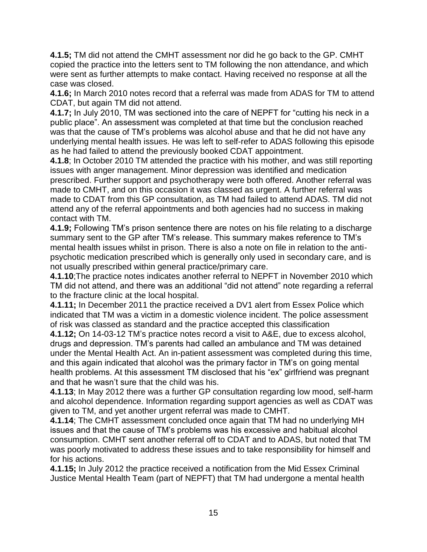**4.1.5;** TM did not attend the CMHT assessment nor did he go back to the GP. CMHT copied the practice into the letters sent to TM following the non attendance, and which were sent as further attempts to make contact. Having received no response at all the case was closed.

**4.1.6;** In March 2010 notes record that a referral was made from ADAS for TM to attend CDAT, but again TM did not attend.

**4.1.7;** In July 2010, TM was sectioned into the care of NEPFT for "cutting his neck in a public place". An assessment was completed at that time but the conclusion reached was that the cause of TM's problems was alcohol abuse and that he did not have any underlying mental health issues. He was left to self-refer to ADAS following this episode as he had failed to attend the previously booked CDAT appointment.

**4.1.8**; In October 2010 TM attended the practice with his mother, and was still reporting issues with anger management. Minor depression was identified and medication prescribed. Further support and psychotherapy were both offered. Another referral was made to CMHT, and on this occasion it was classed as urgent. A further referral was made to CDAT from this GP consultation, as TM had failed to attend ADAS. TM did not attend any of the referral appointments and both agencies had no success in making contact with TM.

**4.1.9;** Following TM's prison sentence there are notes on his file relating to a discharge summary sent to the GP after TM's release. This summary makes reference to TM's mental health issues whilst in prison. There is also a note on file in relation to the antipsychotic medication prescribed which is generally only used in secondary care, and is not usually prescribed within general practice/primary care.

**4.1.10**;The practice notes indicates another referral to NEPFT in November 2010 which TM did not attend, and there was an additional "did not attend" note regarding a referral to the fracture clinic at the local hospital.

**4.1.11;** In December 2011 the practice received a DV1 alert from Essex Police which indicated that TM was a victim in a domestic violence incident. The police assessment of risk was classed as standard and the practice accepted this classification

**4.1.12;** On 14-03-12 TM's practice notes record a visit to A&E, due to excess alcohol, drugs and depression. TM's parents had called an ambulance and TM was detained under the Mental Health Act. An in-patient assessment was completed during this time, and this again indicated that alcohol was the primary factor in TM's on going mental health problems. At this assessment TM disclosed that his "ex" girlfriend was pregnant and that he wasn't sure that the child was his.

**4.1.13**; In May 2012 there was a further GP consultation regarding low mood, self-harm and alcohol dependence. Information regarding support agencies as well as CDAT was given to TM, and yet another urgent referral was made to CMHT.

**4.1.14**; The CMHT assessment concluded once again that TM had no underlying MH issues and that the cause of TM's problems was his excessive and habitual alcohol consumption. CMHT sent another referral off to CDAT and to ADAS, but noted that TM was poorly motivated to address these issues and to take responsibility for himself and for his actions.

**4.1.15;** In July 2012 the practice received a notification from the Mid Essex Criminal Justice Mental Health Team (part of NEPFT) that TM had undergone a mental health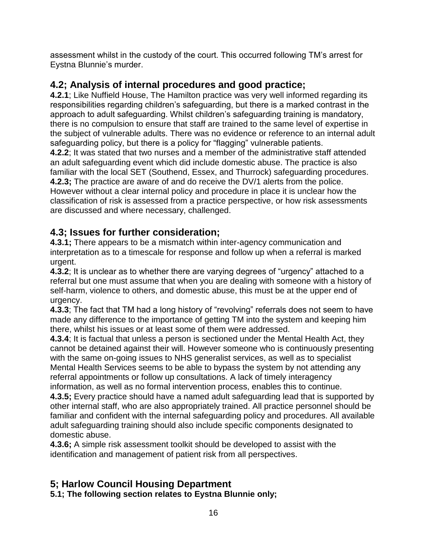assessment whilst in the custody of the court. This occurred following TM's arrest for Eystna Blunnie's murder.

# **4.2; Analysis of internal procedures and good practice;**

**4.2.1**; Like Nuffield House, The Hamilton practice was very well informed regarding its responsibilities regarding children's safeguarding, but there is a marked contrast in the approach to adult safeguarding. Whilst children's safeguarding training is mandatory, there is no compulsion to ensure that staff are trained to the same level of expertise in the subject of vulnerable adults. There was no evidence or reference to an internal adult safeguarding policy, but there is a policy for "flagging" vulnerable patients.

**4.2.2**; It was stated that two nurses and a member of the administrative staff attended an adult safeguarding event which did include domestic abuse. The practice is also familiar with the local SET (Southend, Essex, and Thurrock) safeguarding procedures. **4.2.3;** The practice are aware of and do receive the DV/1 alerts from the police. However without a clear internal policy and procedure in place it is unclear how the classification of risk is assessed from a practice perspective, or how risk assessments are discussed and where necessary, challenged.

# **4.3; Issues for further consideration;**

**4.3.1;** There appears to be a mismatch within inter-agency communication and interpretation as to a timescale for response and follow up when a referral is marked urgent.

**4.3.2**; It is unclear as to whether there are varying degrees of "urgency" attached to a referral but one must assume that when you are dealing with someone with a history of self-harm, violence to others, and domestic abuse, this must be at the upper end of urgency.

**4.3.3**; The fact that TM had a long history of "revolving" referrals does not seem to have made any difference to the importance of getting TM into the system and keeping him there, whilst his issues or at least some of them were addressed.

**4.3.4**; It is factual that unless a person is sectioned under the Mental Health Act, they cannot be detained against their will. However someone who is continuously presenting with the same on-going issues to NHS generalist services, as well as to specialist Mental Health Services seems to be able to bypass the system by not attending any referral appointments or follow up consultations. A lack of timely interagency information, as well as no formal intervention process, enables this to continue.

**4.3.5;** Every practice should have a named adult safeguarding lead that is supported by other internal staff, who are also appropriately trained. All practice personnel should be familiar and confident with the internal safeguarding policy and procedures. All available adult safeguarding training should also include specific components designated to domestic abuse.

**4.3.6;** A simple risk assessment toolkit should be developed to assist with the identification and management of patient risk from all perspectives.

# **5; Harlow Council Housing Department**

**5.1; The following section relates to Eystna Blunnie only;**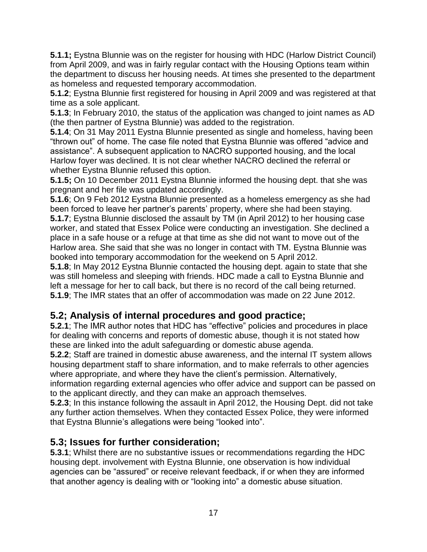**5.1.1;** Eystna Blunnie was on the register for housing with HDC (Harlow District Council) from April 2009, and was in fairly regular contact with the Housing Options team within the department to discuss her housing needs. At times she presented to the department as homeless and requested temporary accommodation.

**5.1.2**; Eystna Blunnie first registered for housing in April 2009 and was registered at that time as a sole applicant.

**5.1.3**; In February 2010, the status of the application was changed to joint names as AD (the then partner of Eystna Blunnie) was added to the registration.

**5.1.4**; On 31 May 2011 Eystna Blunnie presented as single and homeless, having been "thrown out" of home. The case file noted that Eystna Blunnie was offered "advice and assistance". A subsequent application to NACRO supported housing, and the local Harlow foyer was declined. It is not clear whether NACRO declined the referral or whether Eystna Blunnie refused this option.

**5.1.5;** On 10 December 2011 Eystna Blunnie informed the housing dept. that she was pregnant and her file was updated accordingly.

**5.1.6**; On 9 Feb 2012 Eystna Blunnie presented as a homeless emergency as she had been forced to leave her partner's parents' property, where she had been staying.

**5.1.7**; Eystna Blunnie disclosed the assault by TM (in April 2012) to her housing case worker, and stated that Essex Police were conducting an investigation. She declined a place in a safe house or a refuge at that time as she did not want to move out of the Harlow area. She said that she was no longer in contact with TM. Eystna Blunnie was booked into temporary accommodation for the weekend on 5 April 2012.

**5.1.8**; In May 2012 Eystna Blunnie contacted the housing dept. again to state that she was still homeless and sleeping with friends. HDC made a call to Eystna Blunnie and left a message for her to call back, but there is no record of the call being returned. **5.1.9**; The IMR states that an offer of accommodation was made on 22 June 2012.

# **5.2; Analysis of internal procedures and good practice;**

**5.2.1**; The IMR author notes that HDC has "effective" policies and procedures in place for dealing with concerns and reports of domestic abuse, though it is not stated how these are linked into the adult safeguarding or domestic abuse agenda.

**5.2.2**; Staff are trained in domestic abuse awareness, and the internal IT system allows housing department staff to share information, and to make referrals to other agencies where appropriate, and where they have the client's permission. Alternatively,

information regarding external agencies who offer advice and support can be passed on to the applicant directly, and they can make an approach themselves.

**5.2.3**; In this instance following the assault in April 2012, the Housing Dept. did not take any further action themselves. When they contacted Essex Police, they were informed that Eystna Blunnie's allegations were being "looked into".

# **5.3; Issues for further consideration;**

**5.3.1**; Whilst there are no substantive issues or recommendations regarding the HDC housing dept. involvement with Eystna Blunnie, one observation is how individual agencies can be "assured" or receive relevant feedback, if or when they are informed that another agency is dealing with or "looking into" a domestic abuse situation.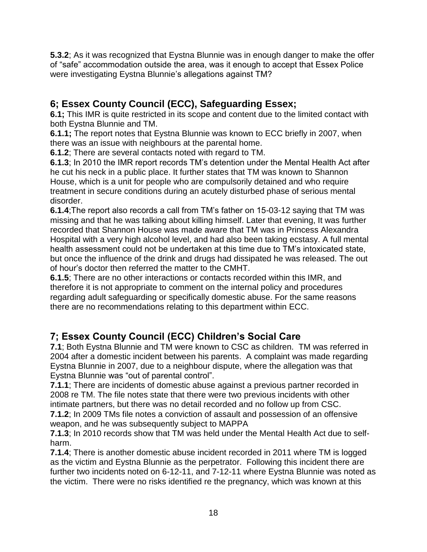**5.3.2**; As it was recognized that Eystna Blunnie was in enough danger to make the offer of "safe" accommodation outside the area, was it enough to accept that Essex Police were investigating Eystna Blunnie's allegations against TM?

# **6; Essex County Council (ECC), Safeguarding Essex;**

**6.1;** This IMR is quite restricted in its scope and content due to the limited contact with both Eystna Blunnie and TM.

**6.1.1;** The report notes that Eystna Blunnie was known to ECC briefly in 2007, when there was an issue with neighbours at the parental home.

**6.1.2**; There are several contacts noted with regard to TM.

**6.1.3**; In 2010 the IMR report records TM's detention under the Mental Health Act after he cut his neck in a public place. It further states that TM was known to Shannon House, which is a unit for people who are compulsorily detained and who require treatment in secure conditions during an acutely disturbed phase of serious mental disorder.

**6.1.4**;The report also records a call from TM's father on 15-03-12 saying that TM was missing and that he was talking about killing himself. Later that evening, It was further recorded that Shannon House was made aware that TM was in Princess Alexandra Hospital with a very high alcohol level, and had also been taking ecstasy. A full mental health assessment could not be undertaken at this time due to TM's intoxicated state, but once the influence of the drink and drugs had dissipated he was released. The out of hour's doctor then referred the matter to the CMHT.

**6.1.5**; There are no other interactions or contacts recorded within this IMR, and therefore it is not appropriate to comment on the internal policy and procedures regarding adult safeguarding or specifically domestic abuse. For the same reasons there are no recommendations relating to this department within ECC.

# **7; Essex County Council (ECC) Children's Social Care**

**7.1**; Both Eystna Blunnie and TM were known to CSC as children. TM was referred in 2004 after a domestic incident between his parents. A complaint was made regarding Eystna Blunnie in 2007, due to a neighbour dispute, where the allegation was that Eystna Blunnie was "out of parental control".

**7.1.1**; There are incidents of domestic abuse against a previous partner recorded in 2008 re TM. The file notes state that there were two previous incidents with other intimate partners, but there was no detail recorded and no follow up from CSC.

**7.1.2**; In 2009 TMs file notes a conviction of assault and possession of an offensive weapon, and he was subsequently subject to MAPPA

**7.1.3**; In 2010 records show that TM was held under the Mental Health Act due to selfharm.

**7.1.4**; There is another domestic abuse incident recorded in 2011 where TM is logged as the victim and Eystna Blunnie as the perpetrator. Following this incident there are further two incidents noted on 6-12-11, and 7-12-11 where Eystna Blunnie was noted as the victim. There were no risks identified re the pregnancy, which was known at this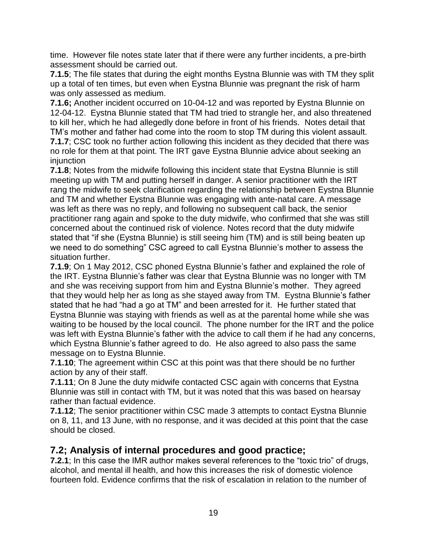time. However file notes state later that if there were any further incidents, a pre-birth assessment should be carried out.

**7.1.5**; The file states that during the eight months Eystna Blunnie was with TM they split up a total of ten times, but even when Eystna Blunnie was pregnant the risk of harm was only assessed as medium.

**7.1.6;** Another incident occurred on 10-04-12 and was reported by Eystna Blunnie on 12-04-12. Eystna Blunnie stated that TM had tried to strangle her, and also threatened to kill her, which he had allegedly done before in front of his friends. Notes detail that TM's mother and father had come into the room to stop TM during this violent assault. **7.1.7**; CSC took no further action following this incident as they decided that there was no role for them at that point. The IRT gave Eystna Blunnie advice about seeking an injunction

**7.1.8**; Notes from the midwife following this incident state that Eystna Blunnie is still meeting up with TM and putting herself in danger. A senior practitioner with the IRT rang the midwife to seek clarification regarding the relationship between Eystna Blunnie and TM and whether Eystna Blunnie was engaging with ante-natal care. A message was left as there was no reply, and following no subsequent call back, the senior practitioner rang again and spoke to the duty midwife, who confirmed that she was still concerned about the continued risk of violence. Notes record that the duty midwife stated that "if she (Eystna Blunnie) is still seeing him (TM) and is still being beaten up we need to do something" CSC agreed to call Eystna Blunnie's mother to assess the situation further.

**7.1.9**; On 1 May 2012, CSC phoned Eystna Blunnie's father and explained the role of the IRT. Eystna Blunnie's father was clear that Eystna Blunnie was no longer with TM and she was receiving support from him and Eystna Blunnie's mother. They agreed that they would help her as long as she stayed away from TM. Eystna Blunnie's father stated that he had "had a go at TM" and been arrested for it. He further stated that Eystna Blunnie was staying with friends as well as at the parental home while she was waiting to be housed by the local council. The phone number for the IRT and the police was left with Eystna Blunnie's father with the advice to call them if he had any concerns, which Eystna Blunnie's father agreed to do. He also agreed to also pass the same message on to Eystna Blunnie.

**7.1.10**; The agreement within CSC at this point was that there should be no further action by any of their staff.

**7.1.11**; On 8 June the duty midwife contacted CSC again with concerns that Eystna Blunnie was still in contact with TM, but it was noted that this was based on hearsay rather than factual evidence.

**7.1.12**; The senior practitioner within CSC made 3 attempts to contact Eystna Blunnie on 8, 11, and 13 June, with no response, and it was decided at this point that the case should be closed.

### **7.2; Analysis of internal procedures and good practice;**

**7.2.1**; In this case the IMR author makes several references to the "toxic trio" of drugs, alcohol, and mental ill health, and how this increases the risk of domestic violence fourteen fold. Evidence confirms that the risk of escalation in relation to the number of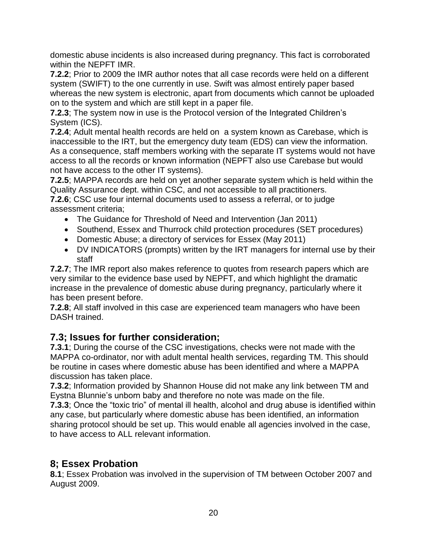domestic abuse incidents is also increased during pregnancy. This fact is corroborated within the NEPFT IMR.

**7.2.2**; Prior to 2009 the IMR author notes that all case records were held on a different system (SWIFT) to the one currently in use. Swift was almost entirely paper based whereas the new system is electronic, apart from documents which cannot be uploaded on to the system and which are still kept in a paper file.

**7.2.3**; The system now in use is the Protocol version of the Integrated Children's System (ICS).

**7.2.4**; Adult mental health records are held on a system known as Carebase, which is inaccessible to the IRT, but the emergency duty team (EDS) can view the information. As a consequence, staff members working with the separate IT systems would not have access to all the records or known information (NEPFT also use Carebase but would not have access to the other IT systems).

**7.2.5**; MAPPA records are held on yet another separate system which is held within the Quality Assurance dept. within CSC, and not accessible to all practitioners.

**7.2.6**; CSC use four internal documents used to assess a referral, or to judge assessment criteria;

- The Guidance for Threshold of Need and Intervention (Jan 2011)
- Southend, Essex and Thurrock child protection procedures (SET procedures)
- Domestic Abuse; a directory of services for Essex (May 2011)
- DV INDICATORS (prompts) written by the IRT managers for internal use by their staff

**7.2.7**; The IMR report also makes reference to quotes from research papers which are very similar to the evidence base used by NEPFT, and which highlight the dramatic increase in the prevalence of domestic abuse during pregnancy, particularly where it has been present before.

**7.2.8**; All staff involved in this case are experienced team managers who have been DASH trained.

# **7.3; Issues for further consideration;**

**7.3.1**; During the course of the CSC investigations, checks were not made with the MAPPA co-ordinator, nor with adult mental health services, regarding TM. This should be routine in cases where domestic abuse has been identified and where a MAPPA discussion has taken place.

**7.3.2**; Information provided by Shannon House did not make any link between TM and Eystna Blunnie's unborn baby and therefore no note was made on the file.

**7.3.3**; Once the "toxic trio" of mental ill health, alcohol and drug abuse is identified within any case, but particularly where domestic abuse has been identified, an information sharing protocol should be set up. This would enable all agencies involved in the case, to have access to ALL relevant information.

# **8; Essex Probation**

**8.1**; Essex Probation was involved in the supervision of TM between October 2007 and August 2009.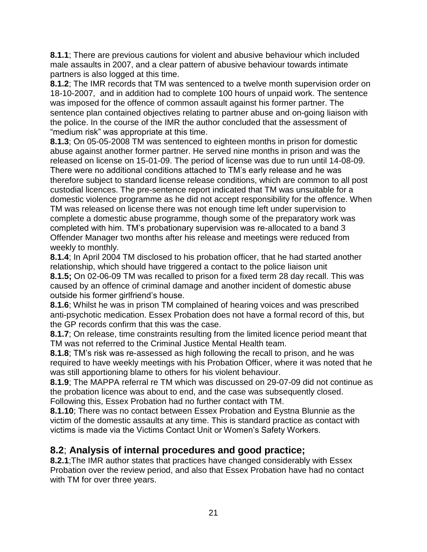**8.1.1**; There are previous cautions for violent and abusive behaviour which included male assaults in 2007, and a clear pattern of abusive behaviour towards intimate partners is also logged at this time.

**8.1.2**; The IMR records that TM was sentenced to a twelve month supervision order on 18-10-2007, and in addition had to complete 100 hours of unpaid work. The sentence was imposed for the offence of common assault against his former partner. The sentence plan contained objectives relating to partner abuse and on-going liaison with the police. In the course of the IMR the author concluded that the assessment of "medium risk" was appropriate at this time.

**8.1.3**; On 05-05-2008 TM was sentenced to eighteen months in prison for domestic abuse against another former partner. He served nine months in prison and was the released on license on 15-01-09. The period of license was due to run until 14-08-09. There were no additional conditions attached to TM's early release and he was therefore subject to standard license release conditions, which are common to all post custodial licences. The pre-sentence report indicated that TM was unsuitable for a domestic violence programme as he did not accept responsibility for the offence. When TM was released on license there was not enough time left under supervision to complete a domestic abuse programme, though some of the preparatory work was completed with him. TM's probationary supervision was re-allocated to a band 3 Offender Manager two months after his release and meetings were reduced from weekly to monthly.

**8.1.4**; In April 2004 TM disclosed to his probation officer, that he had started another relationship, which should have triggered a contact to the police liaison unit **8.1.5;** On 02-06-09 TM was recalled to prison for a fixed term 28 day recall. This was caused by an offence of criminal damage and another incident of domestic abuse outside his former girlfriend's house.

**8.1.6**; Whilst he was in prison TM complained of hearing voices and was prescribed anti-psychotic medication. Essex Probation does not have a formal record of this, but the GP records confirm that this was the case.

**8.1.7**; On release, time constraints resulting from the limited licence period meant that TM was not referred to the Criminal Justice Mental Health team.

**8.1.8**; TM's risk was re-assessed as high following the recall to prison, and he was required to have weekly meetings with his Probation Officer, where it was noted that he was still apportioning blame to others for his violent behaviour.

**8.1.9**; The MAPPA referral re TM which was discussed on 29-07-09 did not continue as the probation licence was about to end, and the case was subsequently closed. Following this, Essex Probation had no further contact with TM.

**8.1.10**; There was no contact between Essex Probation and Eystna Blunnie as the victim of the domestic assaults at any time. This is standard practice as contact with victims is made via the Victims Contact Unit or Women's Safety Workers.

# **8.2**; **Analysis of internal procedures and good practice;**

**8.2.1**;The IMR author states that practices have changed considerably with Essex Probation over the review period, and also that Essex Probation have had no contact with TM for over three years.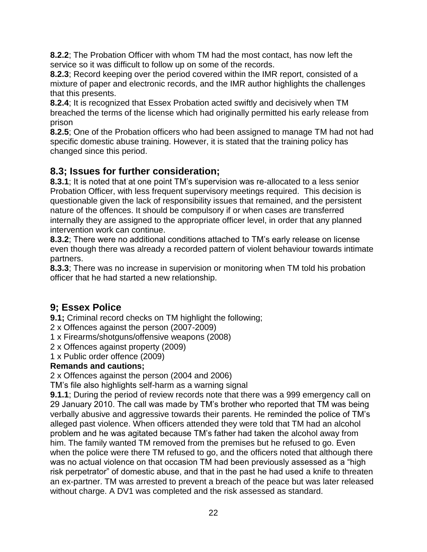**8.2.2**; The Probation Officer with whom TM had the most contact, has now left the service so it was difficult to follow up on some of the records.

**8.2.3**; Record keeping over the period covered within the IMR report, consisted of a mixture of paper and electronic records, and the IMR author highlights the challenges that this presents.

**8.2.4**; It is recognized that Essex Probation acted swiftly and decisively when TM breached the terms of the license which had originally permitted his early release from prison

**8.2.5**; One of the Probation officers who had been assigned to manage TM had not had specific domestic abuse training. However, it is stated that the training policy has changed since this period.

# **8.3; Issues for further consideration;**

**8.3.1**; It is noted that at one point TM's supervision was re-allocated to a less senior Probation Officer, with less frequent supervisory meetings required. This decision is questionable given the lack of responsibility issues that remained, and the persistent nature of the offences. It should be compulsory if or when cases are transferred internally they are assigned to the appropriate officer level, in order that any planned intervention work can continue.

**8.3.2**; There were no additional conditions attached to TM's early release on license even though there was already a recorded pattern of violent behaviour towards intimate partners.

**8.3.3**; There was no increase in supervision or monitoring when TM told his probation officer that he had started a new relationship.

# **9; Essex Police**

**9.1;** Criminal record checks on TM highlight the following;

2 x Offences against the person (2007-2009)

1 x Firearms/shotguns/offensive weapons (2008)

2 x Offences against property (2009)

1 x Public order offence (2009)

### **Remands and cautions;**

2 x Offences against the person (2004 and 2006)

TM's file also highlights self-harm as a warning signal

**9.1.1**; During the period of review records note that there was a 999 emergency call on 29 January 2010. The call was made by TM's brother who reported that TM was being verbally abusive and aggressive towards their parents. He reminded the police of TM's alleged past violence. When officers attended they were told that TM had an alcohol problem and he was agitated because TM's father had taken the alcohol away from him. The family wanted TM removed from the premises but he refused to go. Even when the police were there TM refused to go, and the officers noted that although there was no actual violence on that occasion TM had been previously assessed as a "high risk perpetrator" of domestic abuse, and that in the past he had used a knife to threaten an ex-partner. TM was arrested to prevent a breach of the peace but was later released without charge. A DV1 was completed and the risk assessed as standard.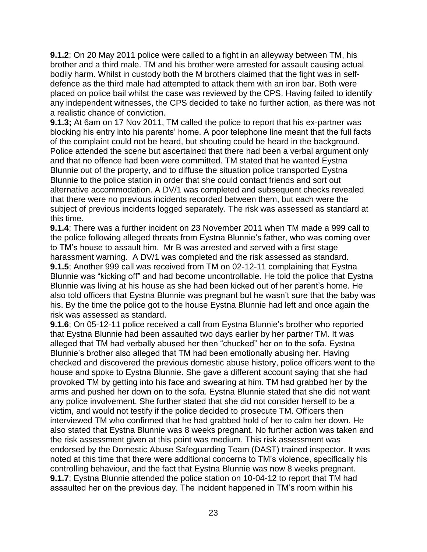**9.1.2**; On 20 May 2011 police were called to a fight in an alleyway between TM, his brother and a third male. TM and his brother were arrested for assault causing actual bodily harm. Whilst in custody both the M brothers claimed that the fight was in selfdefence as the third male had attempted to attack them with an iron bar. Both were placed on police bail whilst the case was reviewed by the CPS. Having failed to identify any independent witnesses, the CPS decided to take no further action, as there was not a realistic chance of conviction.

**9.1.3;** At 6am on 17 Nov 2011, TM called the police to report that his ex-partner was blocking his entry into his parents' home. A poor telephone line meant that the full facts of the complaint could not be heard, but shouting could be heard in the background. Police attended the scene but ascertained that there had been a verbal argument only and that no offence had been were committed. TM stated that he wanted Eystna Blunnie out of the property, and to diffuse the situation police transported Eystna Blunnie to the police station in order that she could contact friends and sort out alternative accommodation. A DV/1 was completed and subsequent checks revealed that there were no previous incidents recorded between them, but each were the subject of previous incidents logged separately. The risk was assessed as standard at this time.

**9.1.4**; There was a further incident on 23 November 2011 when TM made a 999 call to the police following alleged threats from Eystna Blunnie's father, who was coming over to TM's house to assault him. Mr B was arrested and served with a first stage harassment warning. A DV/1 was completed and the risk assessed as standard. **9.1.5**; Another 999 call was received from TM on 02-12-11 complaining that Eystna Blunnie was "kicking off" and had become uncontrollable. He told the police that Eystna Blunnie was living at his house as she had been kicked out of her parent's home. He also told officers that Eystna Blunnie was pregnant but he wasn't sure that the baby was his. By the time the police got to the house Eystna Blunnie had left and once again the risk was assessed as standard.

**9.1.6**; On 05-12-11 police received a call from Eystna Blunnie's brother who reported that Eystna Blunnie had been assaulted two days earlier by her partner TM. It was alleged that TM had verbally abused her then "chucked" her on to the sofa. Eystna Blunnie's brother also alleged that TM had been emotionally abusing her. Having checked and discovered the previous domestic abuse history, police officers went to the house and spoke to Eystna Blunnie. She gave a different account saying that she had provoked TM by getting into his face and swearing at him. TM had grabbed her by the arms and pushed her down on to the sofa. Eystna Blunnie stated that she did not want any police involvement. She further stated that she did not consider herself to be a victim, and would not testify if the police decided to prosecute TM. Officers then interviewed TM who confirmed that he had grabbed hold of her to calm her down. He also stated that Eystna Blunnie was 8 weeks pregnant. No further action was taken and the risk assessment given at this point was medium. This risk assessment was endorsed by the Domestic Abuse Safeguarding Team (DAST) trained inspector. It was noted at this time that there were additional concerns to TM's violence, specifically his controlling behaviour, and the fact that Eystna Blunnie was now 8 weeks pregnant. **9.1.7**; Eystna Blunnie attended the police station on 10-04-12 to report that TM had assaulted her on the previous day. The incident happened in TM's room within his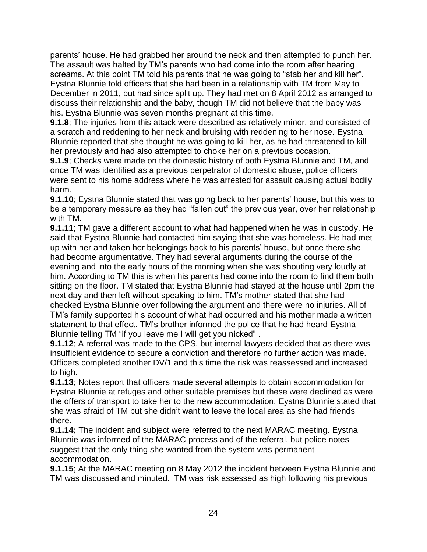parents' house. He had grabbed her around the neck and then attempted to punch her. The assault was halted by TM's parents who had come into the room after hearing screams. At this point TM told his parents that he was going to "stab her and kill her". Eystna Blunnie told officers that she had been in a relationship with TM from May to December in 2011, but had since split up. They had met on 8 April 2012 as arranged to discuss their relationship and the baby, though TM did not believe that the baby was his. Eystna Blunnie was seven months pregnant at this time.

**9.1.8**; The injuries from this attack were described as relatively minor, and consisted of a scratch and reddening to her neck and bruising with reddening to her nose. Eystna Blunnie reported that she thought he was going to kill her, as he had threatened to kill her previously and had also attempted to choke her on a previous occasion.

**9.1.9**; Checks were made on the domestic history of both Eystna Blunnie and TM, and once TM was identified as a previous perpetrator of domestic abuse, police officers were sent to his home address where he was arrested for assault causing actual bodily harm.

**9.1.10**; Eystna Blunnie stated that was going back to her parents' house, but this was to be a temporary measure as they had "fallen out" the previous year, over her relationship with TM.

**9.1.11**; TM gave a different account to what had happened when he was in custody. He said that Eystna Blunnie had contacted him saying that she was homeless. He had met up with her and taken her belongings back to his parents' house, but once there she had become argumentative. They had several arguments during the course of the evening and into the early hours of the morning when she was shouting very loudly at him. According to TM this is when his parents had come into the room to find them both sitting on the floor. TM stated that Eystna Blunnie had stayed at the house until 2pm the next day and then left without speaking to him. TM's mother stated that she had checked Eystna Blunnie over following the argument and there were no injuries. All of TM's family supported his account of what had occurred and his mother made a written statement to that effect. TM's brother informed the police that he had heard Eystna Blunnie telling TM "if you leave me I will get you nicked" .

**9.1.12**; A referral was made to the CPS, but internal lawyers decided that as there was insufficient evidence to secure a conviction and therefore no further action was made. Officers completed another DV/1 and this time the risk was reassessed and increased to high.

**9.1.13**; Notes report that officers made several attempts to obtain accommodation for Eystna Blunnie at refuges and other suitable premises but these were declined as were the offers of transport to take her to the new accommodation. Eystna Blunnie stated that she was afraid of TM but she didn't want to leave the local area as she had friends there.

**9.1.14;** The incident and subject were referred to the next MARAC meeting. Eystna Blunnie was informed of the MARAC process and of the referral, but police notes suggest that the only thing she wanted from the system was permanent accommodation.

**9.1.15**; At the MARAC meeting on 8 May 2012 the incident between Eystna Blunnie and TM was discussed and minuted. TM was risk assessed as high following his previous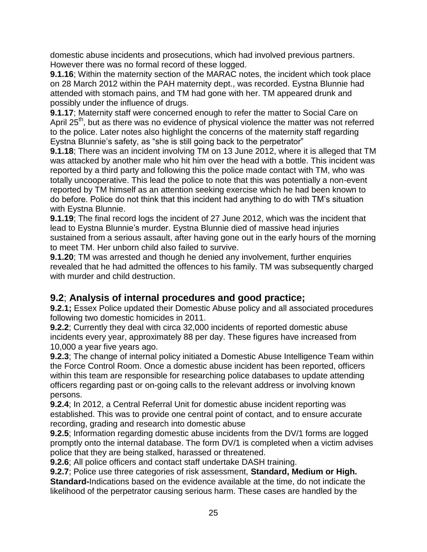domestic abuse incidents and prosecutions, which had involved previous partners. However there was no formal record of these logged.

**9.1.16**; Within the maternity section of the MARAC notes, the incident which took place on 28 March 2012 within the PAH maternity dept., was recorded. Eystna Blunnie had attended with stomach pains, and TM had gone with her. TM appeared drunk and possibly under the influence of drugs.

**9.1.17**; Maternity staff were concerned enough to refer the matter to Social Care on April 25<sup>th</sup>, but as there was no evidence of physical violence the matter was not referred to the police. Later notes also highlight the concerns of the maternity staff regarding Eystna Blunnie's safety, as "she is still going back to the perpetrator"

**9.1.18**; There was an incident involving TM on 13 June 2012, where it is alleged that TM was attacked by another male who hit him over the head with a bottle. This incident was reported by a third party and following this the police made contact with TM, who was totally uncooperative. This lead the police to note that this was potentially a non-event reported by TM himself as an attention seeking exercise which he had been known to do before. Police do not think that this incident had anything to do with TM's situation with Eystna Blunnie.

**9.1.19**; The final record logs the incident of 27 June 2012, which was the incident that lead to Eystna Blunnie's murder. Eystna Blunnie died of massive head injuries sustained from a serious assault, after having gone out in the early hours of the morning to meet TM. Her unborn child also failed to survive.

**9.1.20**; TM was arrested and though he denied any involvement, further enquiries revealed that he had admitted the offences to his family. TM was subsequently charged with murder and child destruction.

# **9.2**; **Analysis of internal procedures and good practice;**

**9.2.1;** Essex Police updated their Domestic Abuse policy and all associated procedures following two domestic homicides in 2011.

**9.2.2**; Currently they deal with circa 32,000 incidents of reported domestic abuse incidents every year, approximately 88 per day. These figures have increased from 10,000 a year five years ago.

**9.2.3**; The change of internal policy initiated a Domestic Abuse Intelligence Team within the Force Control Room. Once a domestic abuse incident has been reported, officers within this team are responsible for researching police databases to update attending officers regarding past or on-going calls to the relevant address or involving known persons.

**9.2.4**; In 2012, a Central Referral Unit for domestic abuse incident reporting was established. This was to provide one central point of contact, and to ensure accurate recording, grading and research into domestic abuse

**9.2.5**; Information regarding domestic abuse incidents from the DV/1 forms are logged promptly onto the internal database. The form DV/1 is completed when a victim advises police that they are being stalked, harassed or threatened.

**9.2.6**; All police officers and contact staff undertake DASH training.

**9.2.7**; Police use three categories of risk assessment, **Standard, Medium or High. Standard-**Indications based on the evidence available at the time, do not indicate the likelihood of the perpetrator causing serious harm. These cases are handled by the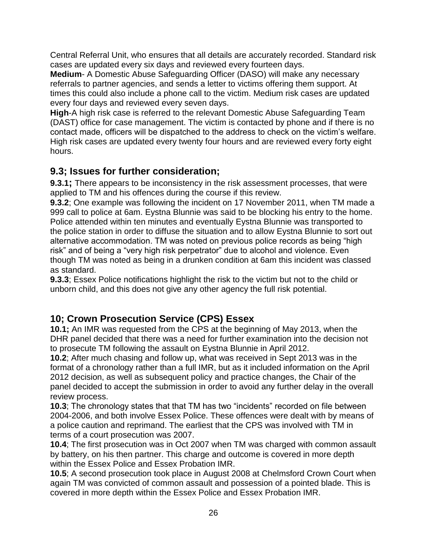Central Referral Unit, who ensures that all details are accurately recorded. Standard risk cases are updated every six days and reviewed every fourteen days.

**Medium**- A Domestic Abuse Safeguarding Officer (DASO) will make any necessary referrals to partner agencies, and sends a letter to victims offering them support. At times this could also include a phone call to the victim. Medium risk cases are updated every four days and reviewed every seven days.

**High**-A high risk case is referred to the relevant Domestic Abuse Safeguarding Team (DAST) office for case management. The victim is contacted by phone and if there is no contact made, officers will be dispatched to the address to check on the victim's welfare. High risk cases are updated every twenty four hours and are reviewed every forty eight hours.

# **9.3; Issues for further consideration;**

**9.3.1;** There appears to be inconsistency in the risk assessment processes, that were applied to TM and his offences during the course if this review.

**9.3.2**; One example was following the incident on 17 November 2011, when TM made a 999 call to police at 6am. Eystna Blunnie was said to be blocking his entry to the home. Police attended within ten minutes and eventually Eystna Blunnie was transported to the police station in order to diffuse the situation and to allow Eystna Blunnie to sort out alternative accommodation. TM was noted on previous police records as being "high risk" and of being a "very high risk perpetrator" due to alcohol and violence. Even though TM was noted as being in a drunken condition at 6am this incident was classed as standard.

**9.3.3**; Essex Police notifications highlight the risk to the victim but not to the child or unborn child, and this does not give any other agency the full risk potential.

# **10; Crown Prosecution Service (CPS) Essex**

**10.1;** An IMR was requested from the CPS at the beginning of May 2013, when the DHR panel decided that there was a need for further examination into the decision not to prosecute TM following the assault on Eystna Blunnie in April 2012.

**10.2**; After much chasing and follow up, what was received in Sept 2013 was in the format of a chronology rather than a full IMR, but as it included information on the April 2012 decision, as well as subsequent policy and practice changes, the Chair of the panel decided to accept the submission in order to avoid any further delay in the overall review process.

**10.3**; The chronology states that that TM has two "incidents" recorded on file between 2004-2006, and both involve Essex Police. These offences were dealt with by means of a police caution and reprimand. The earliest that the CPS was involved with TM in terms of a court prosecution was 2007.

**10.4**; The first prosecution was in Oct 2007 when TM was charged with common assault by battery, on his then partner. This charge and outcome is covered in more depth within the Essex Police and Essex Probation IMR.

**10.5**; A second prosecution took place in August 2008 at Chelmsford Crown Court when again TM was convicted of common assault and possession of a pointed blade. This is covered in more depth within the Essex Police and Essex Probation IMR.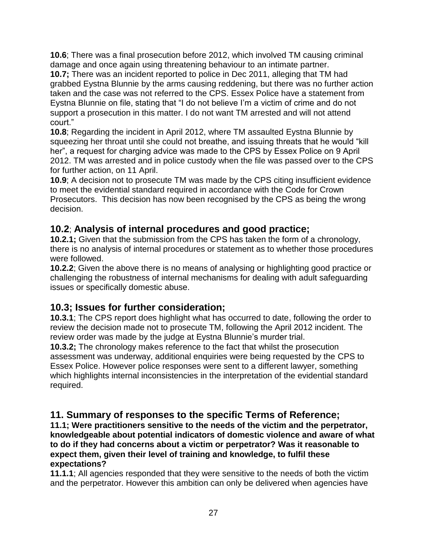**10.6**; There was a final prosecution before 2012, which involved TM causing criminal damage and once again using threatening behaviour to an intimate partner.

**10.7;** There was an incident reported to police in Dec 2011, alleging that TM had grabbed Eystna Blunnie by the arms causing reddening, but there was no further action taken and the case was not referred to the CPS. Essex Police have a statement from Eystna Blunnie on file, stating that "I do not believe I'm a victim of crime and do not support a prosecution in this matter. I do not want TM arrested and will not attend court."

**10.8**; Regarding the incident in April 2012, where TM assaulted Eystna Blunnie by squeezing her throat until she could not breathe, and issuing threats that he would "kill her", a request for charging advice was made to the CPS by Essex Police on 9 April 2012. TM was arrested and in police custody when the file was passed over to the CPS for further action, on 11 April.

**10.9**; A decision not to prosecute TM was made by the CPS citing insufficient evidence to meet the evidential standard required in accordance with the Code for Crown Prosecutors. This decision has now been recognised by the CPS as being the wrong decision.

### **10.2**; **Analysis of internal procedures and good practice;**

**10.2.1;** Given that the submission from the CPS has taken the form of a chronology, there is no analysis of internal procedures or statement as to whether those procedures were followed.

**10.2.2**; Given the above there is no means of analysing or highlighting good practice or challenging the robustness of internal mechanisms for dealing with adult safeguarding issues or specifically domestic abuse.

# **10.3; Issues for further consideration;**

**10.3.1**; The CPS report does highlight what has occurred to date, following the order to review the decision made not to prosecute TM, following the April 2012 incident. The review order was made by the judge at Eystna Blunnie's murder trial.

**10.3.2;** The chronology makes reference to the fact that whilst the prosecution assessment was underway, additional enquiries were being requested by the CPS to Essex Police. However police responses were sent to a different lawyer, something which highlights internal inconsistencies in the interpretation of the evidential standard required.

# **11. Summary of responses to the specific Terms of Reference;**

**11.1; Were practitioners sensitive to the needs of the victim and the perpetrator, knowledgeable about potential indicators of domestic violence and aware of what to do if they had concerns about a victim or perpetrator? Was it reasonable to expect them, given their level of training and knowledge, to fulfil these expectations?**

**11.1.1**; All agencies responded that they were sensitive to the needs of both the victim and the perpetrator. However this ambition can only be delivered when agencies have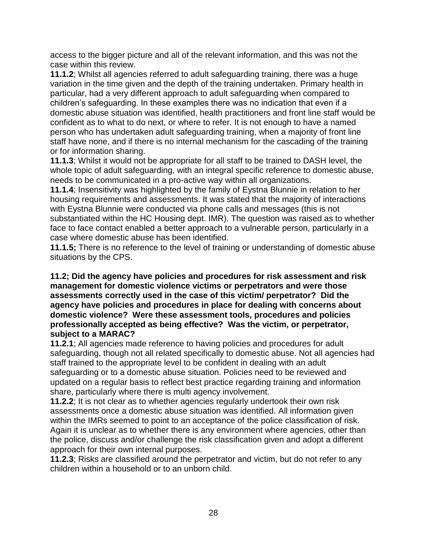access to the bigger picture and all of the relevant information, and this was not the case within this review.

**11.1.2**; Whilst all agencies referred to adult safeguarding training, there was a huge variation in the time given and the depth of the training undertaken. Primary health in particular, had a very different approach to adult safeguarding when compared to children's safeguarding. In these examples there was no indication that even if a domestic abuse situation was identified, health practitioners and front line staff would be confident as to what to do next, or where to refer. It is not enough to have a named person who has undertaken adult safeguarding training, when a majority of front line staff have none, and if there is no internal mechanism for the cascading of the training or for information sharing.

**11.1.3**; Whilst it would not be appropriate for all staff to be trained to DASH level, the whole topic of adult safeguarding, with an integral specific reference to domestic abuse, needs to be communicated in a pro-active way within all organizations.

**11.1.4**; Insensitivity was highlighted by the family of Eystna Blunnie in relation to her housing requirements and assessments. It was stated that the majority of interactions with Eystna Blunnie were conducted via phone calls and messages (this is not substantiated within the HC Housing dept. IMR). The question was raised as to whether face to face contact enabled a better approach to a vulnerable person, particularly in a case where domestic abuse has been identified.

**11.1.5;** There is no reference to the level of training or understanding of domestic abuse situations by the CPS.

#### **11.2; Did the agency have policies and procedures for risk assessment and risk management for domestic violence victims or perpetrators and were those assessments correctly used in the case of this victim/ perpetrator? Did the agency have policies and procedures in place for dealing with concerns about domestic violence? Were these assessment tools, procedures and policies professionally accepted as being effective? Was the victim, or perpetrator, subject to a MARAC?**

**11.2.1**; All agencies made reference to having policies and procedures for adult safeguarding, though not all related specifically to domestic abuse. Not all agencies had staff trained to the appropriate level to be confident in dealing with an adult safeguarding or to a domestic abuse situation. Policies need to be reviewed and updated on a regular basis to reflect best practice regarding training and information share, particularly where there is multi agency involvement.

**11.2.2**; It is not clear as to whether agencies regularly undertook their own risk assessments once a domestic abuse situation was identified. All information given within the IMRs seemed to point to an acceptance of the police classification of risk. Again it is unclear as to whether there is any environment where agencies, other than the police, discuss and/or challenge the risk classification given and adopt a different approach for their own internal purposes.

**11.2.3**; Risks are classified around the perpetrator and victim, but do not refer to any children within a household or to an unborn child.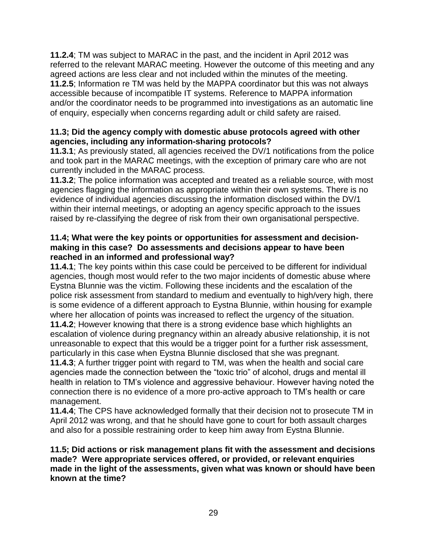**11.2.4**; TM was subject to MARAC in the past, and the incident in April 2012 was referred to the relevant MARAC meeting. However the outcome of this meeting and any agreed actions are less clear and not included within the minutes of the meeting. **11.2.5**; Information re TM was held by the MAPPA coordinator but this was not always accessible because of incompatible IT systems. Reference to MAPPA information and/or the coordinator needs to be programmed into investigations as an automatic line of enquiry, especially when concerns regarding adult or child safety are raised.

#### **11.3; Did the agency comply with domestic abuse protocols agreed with other agencies, including any information-sharing protocols?**

**11.3.1**; As previously stated, all agencies received the DV/1 notifications from the police and took part in the MARAC meetings, with the exception of primary care who are not currently included in the MARAC process.

**11.3.2**; The police information was accepted and treated as a reliable source, with most agencies flagging the information as appropriate within their own systems. There is no evidence of individual agencies discussing the information disclosed within the DV/1 within their internal meetings, or adopting an agency specific approach to the issues raised by re-classifying the degree of risk from their own organisational perspective.

#### **11.4; What were the key points or opportunities for assessment and decisionmaking in this case? Do assessments and decisions appear to have been reached in an informed and professional way?**

**11.4.1**; The key points within this case could be perceived to be different for individual agencies, though most would refer to the two major incidents of domestic abuse where Eystna Blunnie was the victim. Following these incidents and the escalation of the police risk assessment from standard to medium and eventually to high/very high, there is some evidence of a different approach to Eystna Blunnie, within housing for example where her allocation of points was increased to reflect the urgency of the situation. **11.4.2**; However knowing that there is a strong evidence base which highlights an escalation of violence during pregnancy within an already abusive relationship, it is not unreasonable to expect that this would be a trigger point for a further risk assessment,

particularly in this case when Eystna Blunnie disclosed that she was pregnant.

**11.4.3**; A further trigger point with regard to TM, was when the health and social care agencies made the connection between the "toxic trio" of alcohol, drugs and mental ill health in relation to TM's violence and aggressive behaviour. However having noted the connection there is no evidence of a more pro-active approach to TM's health or care management.

**11.4.4**; The CPS have acknowledged formally that their decision not to prosecute TM in April 2012 was wrong, and that he should have gone to court for both assault charges and also for a possible restraining order to keep him away from Eystna Blunnie.

#### **11.5; Did actions or risk management plans fit with the assessment and decisions made? Were appropriate services offered, or provided, or relevant enquiries made in the light of the assessments, given what was known or should have been known at the time?**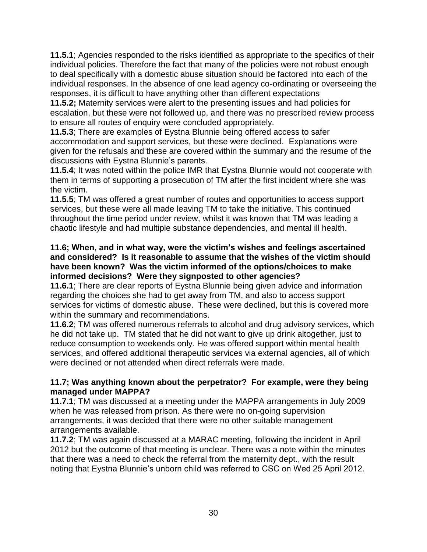**11.5.1**; Agencies responded to the risks identified as appropriate to the specifics of their individual policies. Therefore the fact that many of the policies were not robust enough to deal specifically with a domestic abuse situation should be factored into each of the individual responses. In the absence of one lead agency co-ordinating or overseeing the responses, it is difficult to have anything other than different expectations

**11.5.2;** Maternity services were alert to the presenting issues and had policies for escalation, but these were not followed up, and there was no prescribed review process to ensure all routes of enquiry were concluded appropriately.

**11.5.3**; There are examples of Eystna Blunnie being offered access to safer accommodation and support services, but these were declined. Explanations were given for the refusals and these are covered within the summary and the resume of the discussions with Eystna Blunnie's parents.

**11.5.4**; It was noted within the police IMR that Eystna Blunnie would not cooperate with them in terms of supporting a prosecution of TM after the first incident where she was the victim.

**11.5.5**; TM was offered a great number of routes and opportunities to access support services, but these were all made leaving TM to take the initiative. This continued throughout the time period under review, whilst it was known that TM was leading a chaotic lifestyle and had multiple substance dependencies, and mental ill health.

#### **11.6; When, and in what way, were the victim's wishes and feelings ascertained and considered? Is it reasonable to assume that the wishes of the victim should have been known? Was the victim informed of the options/choices to make informed decisions? Were they signposted to other agencies?**

**11.6.1**; There are clear reports of Eystna Blunnie being given advice and information regarding the choices she had to get away from TM, and also to access support services for victims of domestic abuse. These were declined, but this is covered more within the summary and recommendations.

**11.6.2**; TM was offered numerous referrals to alcohol and drug advisory services, which he did not take up. TM stated that he did not want to give up drink altogether, just to reduce consumption to weekends only. He was offered support within mental health services, and offered additional therapeutic services via external agencies, all of which were declined or not attended when direct referrals were made.

#### **11.7; Was anything known about the perpetrator? For example, were they being managed under MAPPA?**

**11.7.1**; TM was discussed at a meeting under the MAPPA arrangements in July 2009 when he was released from prison. As there were no on-going supervision arrangements, it was decided that there were no other suitable management arrangements available.

**11.7.2**; TM was again discussed at a MARAC meeting, following the incident in April 2012 but the outcome of that meeting is unclear. There was a note within the minutes that there was a need to check the referral from the maternity dept., with the result noting that Eystna Blunnie's unborn child was referred to CSC on Wed 25 April 2012.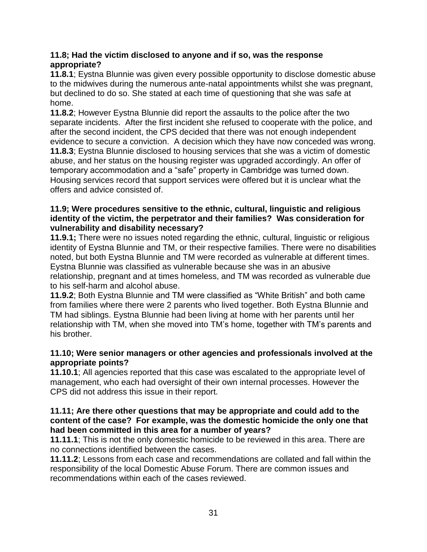#### **11.8; Had the victim disclosed to anyone and if so, was the response appropriate?**

**11.8.1**; Eystna Blunnie was given every possible opportunity to disclose domestic abuse to the midwives during the numerous ante-natal appointments whilst she was pregnant, but declined to do so. She stated at each time of questioning that she was safe at home.

**11.8.2**; However Eystna Blunnie did report the assaults to the police after the two separate incidents. After the first incident she refused to cooperate with the police, and after the second incident, the CPS decided that there was not enough independent evidence to secure a conviction. A decision which they have now conceded was wrong. **11.8.3**; Eystna Blunnie disclosed to housing services that she was a victim of domestic abuse, and her status on the housing register was upgraded accordingly. An offer of temporary accommodation and a "safe" property in Cambridge was turned down. Housing services record that support services were offered but it is unclear what the offers and advice consisted of.

#### **11.9; Were procedures sensitive to the ethnic, cultural, linguistic and religious identity of the victim, the perpetrator and their families? Was consideration for vulnerability and disability necessary?**

**11.9.1;** There were no issues noted regarding the ethnic, cultural, linguistic or religious identity of Eystna Blunnie and TM, or their respective families. There were no disabilities noted, but both Eystna Blunnie and TM were recorded as vulnerable at different times. Eystna Blunnie was classified as vulnerable because she was in an abusive relationship, pregnant and at times homeless, and TM was recorded as vulnerable due to his self-harm and alcohol abuse.

**11.9.2**; Both Eystna Blunnie and TM were classified as "White British" and both came from families where there were 2 parents who lived together. Both Eystna Blunnie and TM had siblings. Eystna Blunnie had been living at home with her parents until her relationship with TM, when she moved into TM's home, together with TM's parents and his brother.

#### **11.10; Were senior managers or other agencies and professionals involved at the appropriate points?**

**11.10.1**; All agencies reported that this case was escalated to the appropriate level of management, who each had oversight of their own internal processes. However the CPS did not address this issue in their report.

#### **11.11; Are there other questions that may be appropriate and could add to the content of the case? For example, was the domestic homicide the only one that had been committed in this area for a number of years?**

**11.11.1**; This is not the only domestic homicide to be reviewed in this area. There are no connections identified between the cases.

**11.11.2**; Lessons from each case and recommendations are collated and fall within the responsibility of the local Domestic Abuse Forum. There are common issues and recommendations within each of the cases reviewed.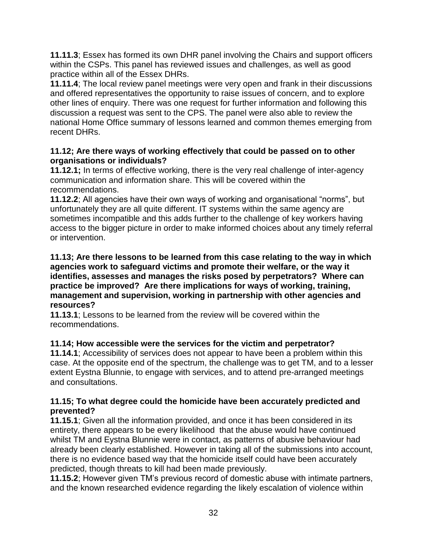**11.11.3**; Essex has formed its own DHR panel involving the Chairs and support officers within the CSPs. This panel has reviewed issues and challenges, as well as good practice within all of the Essex DHRs.

**11.11.4**; The local review panel meetings were very open and frank in their discussions and offered representatives the opportunity to raise issues of concern, and to explore other lines of enquiry. There was one request for further information and following this discussion a request was sent to the CPS. The panel were also able to review the national Home Office summary of lessons learned and common themes emerging from recent DHRs.

#### **11.12; Are there ways of working effectively that could be passed on to other organisations or individuals?**

**11.12.1;** In terms of effective working, there is the very real challenge of inter-agency communication and information share. This will be covered within the recommendations.

**11.12.2**; All agencies have their own ways of working and organisational "norms", but unfortunately they are all quite different. IT systems within the same agency are sometimes incompatible and this adds further to the challenge of key workers having access to the bigger picture in order to make informed choices about any timely referral or intervention.

**11.13; Are there lessons to be learned from this case relating to the way in which agencies work to safeguard victims and promote their welfare, or the way it identifies, assesses and manages the risks posed by perpetrators? Where can practice be improved? Are there implications for ways of working, training, management and supervision, working in partnership with other agencies and resources?**

**11.13.1**; Lessons to be learned from the review will be covered within the recommendations.

### **11.14; How accessible were the services for the victim and perpetrator?**

**11.14.1**; Accessibility of services does not appear to have been a problem within this case. At the opposite end of the spectrum, the challenge was to get TM, and to a lesser extent Eystna Blunnie, to engage with services, and to attend pre-arranged meetings and consultations.

#### **11.15; To what degree could the homicide have been accurately predicted and prevented?**

**11.15.1**; Given all the information provided, and once it has been considered in its entirety, there appears to be every likelihood that the abuse would have continued whilst TM and Eystna Blunnie were in contact, as patterns of abusive behaviour had already been clearly established. However in taking all of the submissions into account, there is no evidence based way that the homicide itself could have been accurately predicted, though threats to kill had been made previously.

**11.15.2**; However given TM's previous record of domestic abuse with intimate partners, and the known researched evidence regarding the likely escalation of violence within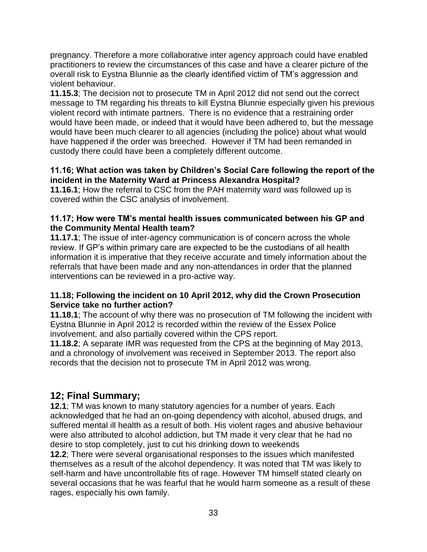pregnancy. Therefore a more collaborative inter agency approach could have enabled practitioners to review the circumstances of this case and have a clearer picture of the overall risk to Eystna Blunnie as the clearly identified victim of TM's aggression and violent behaviour.

**11.15.3**; The decision not to prosecute TM in April 2012 did not send out the correct message to TM regarding his threats to kill Eystna Blunnie especially given his previous violent record with intimate partners. There is no evidence that a restraining order would have been made, or indeed that it would have been adhered to, but the message would have been much clearer to all agencies (including the police) about what would have happened if the order was breeched. However if TM had been remanded in custody there could have been a completely different outcome.

#### **11.16; What action was taken by Children's Social Care following the report of the incident in the Maternity Ward at Princess Alexandra Hospital?**

**11.16.1**; How the referral to CSC from the PAH maternity ward was followed up is covered within the CSC analysis of involvement.

#### **11.17; How were TM's mental health issues communicated between his GP and the Community Mental Health team?**

**11.17.1**; The issue of inter-agency communication is of concern across the whole review. If GP's within primary care are expected to be the custodians of all health information it is imperative that they receive accurate and timely information about the referrals that have been made and any non-attendances in order that the planned interventions can be reviewed in a pro-active way.

#### **11.18; Following the incident on 10 April 2012, why did the Crown Prosecution Service take no further action?**

**11.18.1**; The account of why there was no prosecution of TM following the incident with Eystna Blunnie in April 2012 is recorded within the review of the Essex Police involvement, and also partially covered within the CPS report.

**11.18.2**; A separate IMR was requested from the CPS at the beginning of May 2013, and a chronology of involvement was received in September 2013. The report also records that the decision not to prosecute TM in April 2012 was wrong.

### **12; Final Summary;**

**12.1**; TM was known to many statutory agencies for a number of years. Each acknowledged that he had an on-going dependency with alcohol, abused drugs, and suffered mental ill health as a result of both. His violent rages and abusive behaviour were also attributed to alcohol addiction, but TM made it very clear that he had no desire to stop completely, just to cut his drinking down to weekends

**12.2**; There were several organisational responses to the issues which manifested themselves as a result of the alcohol dependency. It was noted that TM was likely to self-harm and have uncontrollable fits of rage. However TM himself stated clearly on several occasions that he was fearful that he would harm someone as a result of these rages, especially his own family.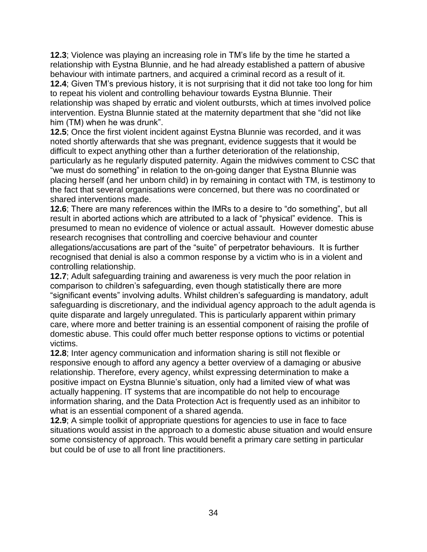**12.3**; Violence was playing an increasing role in TM's life by the time he started a relationship with Eystna Blunnie, and he had already established a pattern of abusive behaviour with intimate partners, and acquired a criminal record as a result of it.

**12.4**; Given TM's previous history, it is not surprising that it did not take too long for him to repeat his violent and controlling behaviour towards Eystna Blunnie. Their relationship was shaped by erratic and violent outbursts, which at times involved police intervention. Eystna Blunnie stated at the maternity department that she "did not like him (TM) when he was drunk".

**12.5**; Once the first violent incident against Eystna Blunnie was recorded, and it was noted shortly afterwards that she was pregnant, evidence suggests that it would be difficult to expect anything other than a further deterioration of the relationship, particularly as he regularly disputed paternity. Again the midwives comment to CSC that "we must do something" in relation to the on-going danger that Eystna Blunnie was placing herself (and her unborn child) in by remaining in contact with TM, is testimony to the fact that several organisations were concerned, but there was no coordinated or shared interventions made.

**12.6**; There are many references within the IMRs to a desire to "do something", but all result in aborted actions which are attributed to a lack of "physical" evidence. This is presumed to mean no evidence of violence or actual assault. However domestic abuse research recognises that controlling and coercive behaviour and counter allegations/accusations are part of the "suite" of perpetrator behaviours. It is further recognised that denial is also a common response by a victim who is in a violent and controlling relationship.

**12.7**; Adult safeguarding training and awareness is very much the poor relation in comparison to children's safeguarding, even though statistically there are more "significant events" involving adults. Whilst children's safeguarding is mandatory, adult safeguarding is discretionary, and the individual agency approach to the adult agenda is quite disparate and largely unregulated. This is particularly apparent within primary care, where more and better training is an essential component of raising the profile of domestic abuse. This could offer much better response options to victims or potential victims.

**12.8**; Inter agency communication and information sharing is still not flexible or responsive enough to afford any agency a better overview of a damaging or abusive relationship. Therefore, every agency, whilst expressing determination to make a positive impact on Eystna Blunnie's situation, only had a limited view of what was actually happening. IT systems that are incompatible do not help to encourage information sharing, and the Data Protection Act is frequently used as an inhibitor to what is an essential component of a shared agenda.

**12.9**; A simple toolkit of appropriate questions for agencies to use in face to face situations would assist in the approach to a domestic abuse situation and would ensure some consistency of approach. This would benefit a primary care setting in particular but could be of use to all front line practitioners.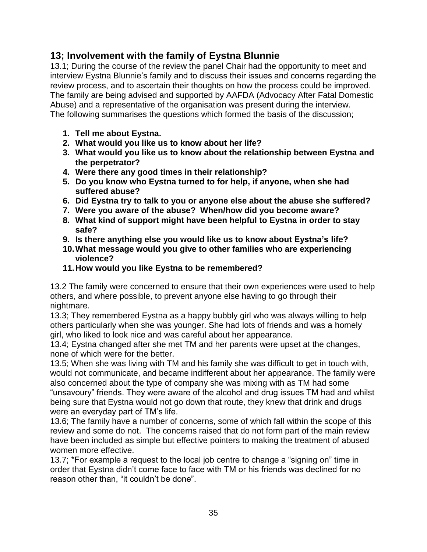### **13; Involvement with the family of Eystna Blunnie**

13.1; During the course of the review the panel Chair had the opportunity to meet and interview Eystna Blunnie's family and to discuss their issues and concerns regarding the review process, and to ascertain their thoughts on how the process could be improved. The family are being advised and supported by AAFDA (Advocacy After Fatal Domestic Abuse) and a representative of the organisation was present during the interview. The following summarises the questions which formed the basis of the discussion;

- **1. Tell me about Eystna.**
- **2. What would you like us to know about her life?**
- **3. What would you like us to know about the relationship between Eystna and the perpetrator?**
- **4. Were there any good times in their relationship?**
- **5. Do you know who Eystna turned to for help, if anyone, when she had suffered abuse?**
- **6. Did Eystna try to talk to you or anyone else about the abuse she suffered?**
- **7. Were you aware of the abuse? When/how did you become aware?**
- **8. What kind of support might have been helpful to Eystna in order to stay safe?**
- **9. Is there anything else you would like us to know about Eystna's life?**
- **10.What message would you give to other families who are experiencing violence?**
- **11.How would you like Eystna to be remembered?**

13.2 The family were concerned to ensure that their own experiences were used to help others, and where possible, to prevent anyone else having to go through their nightmare.

13.3; They remembered Eystna as a happy bubbly girl who was always willing to help others particularly when she was younger. She had lots of friends and was a homely girl, who liked to look nice and was careful about her appearance.

13.4; Eystna changed after she met TM and her parents were upset at the changes, none of which were for the better.

13.5; When she was living with TM and his family she was difficult to get in touch with, would not communicate, and became indifferent about her appearance. The family were also concerned about the type of company she was mixing with as TM had some "unsavoury" friends. They were aware of the alcohol and drug issues TM had and whilst being sure that Eystna would not go down that route, they knew that drink and drugs were an everyday part of TM's life.

13.6; The family have a number of concerns, some of which fall within the scope of this review and some do not. The concerns raised that do not form part of the main review have been included as simple but effective pointers to making the treatment of abused women more effective.

13.7; \*For example a request to the local job centre to change a "signing on" time in order that Eystna didn't come face to face with TM or his friends was declined for no reason other than, "it couldn't be done".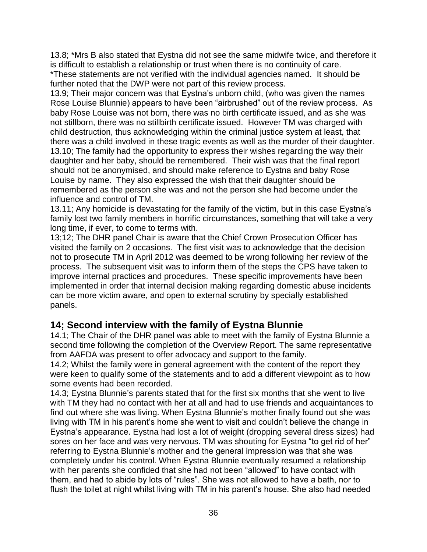13.8; \*Mrs B also stated that Eystna did not see the same midwife twice, and therefore it is difficult to establish a relationship or trust when there is no continuity of care.

\*These statements are not verified with the individual agencies named. It should be further noted that the DWP were not part of this review process.

13.9; Their major concern was that Eystna's unborn child, (who was given the names Rose Louise Blunnie) appears to have been "airbrushed" out of the review process. As baby Rose Louise was not born, there was no birth certificate issued, and as she was not stillborn, there was no stillbirth certificate issued. However TM was charged with child destruction, thus acknowledging within the criminal justice system at least, that there was a child involved in these tragic events as well as the murder of their daughter. 13.10; The family had the opportunity to express their wishes regarding the way their daughter and her baby, should be remembered. Their wish was that the final report should not be anonymised, and should make reference to Eystna and baby Rose Louise by name. They also expressed the wish that their daughter should be remembered as the person she was and not the person she had become under the influence and control of TM.

13.11; Any homicide is devastating for the family of the victim, but in this case Eystna's family lost two family members in horrific circumstances, something that will take a very long time, if ever, to come to terms with.

13;12; The DHR panel Chair is aware that the Chief Crown Prosecution Officer has visited the family on 2 occasions. The first visit was to acknowledge that the decision not to prosecute TM in April 2012 was deemed to be wrong following her review of the process. The subsequent visit was to inform them of the steps the CPS have taken to improve internal practices and procedures. These specific improvements have been implemented in order that internal decision making regarding domestic abuse incidents can be more victim aware, and open to external scrutiny by specially established panels.

### **14; Second interview with the family of Eystna Blunnie**

14.1; The Chair of the DHR panel was able to meet with the family of Eystna Blunnie a second time following the completion of the Overview Report. The same representative from AAFDA was present to offer advocacy and support to the family.

14.2; Whilst the family were in general agreement with the content of the report they were keen to qualify some of the statements and to add a different viewpoint as to how some events had been recorded.

14.3; Eystna Blunnie's parents stated that for the first six months that she went to live with TM they had no contact with her at all and had to use friends and acquaintances to find out where she was living. When Eystna Blunnie's mother finally found out she was living with TM in his parent's home she went to visit and couldn't believe the change in Eystna's appearance. Eystna had lost a lot of weight (dropping several dress sizes) had sores on her face and was very nervous. TM was shouting for Eystna "to get rid of her" referring to Eystna Blunnie's mother and the general impression was that she was completely under his control. When Eystna Blunnie eventually resumed a relationship with her parents she confided that she had not been "allowed" to have contact with them, and had to abide by lots of "rules". She was not allowed to have a bath, nor to flush the toilet at night whilst living with TM in his parent's house. She also had needed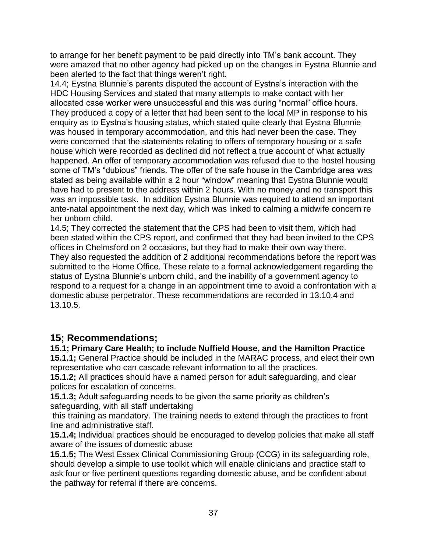to arrange for her benefit payment to be paid directly into TM's bank account. They were amazed that no other agency had picked up on the changes in Eystna Blunnie and been alerted to the fact that things weren't right.

14.4; Eystna Blunnie's parents disputed the account of Eystna's interaction with the HDC Housing Services and stated that many attempts to make contact with her allocated case worker were unsuccessful and this was during "normal" office hours. They produced a copy of a letter that had been sent to the local MP in response to his enquiry as to Eystna's housing status, which stated quite clearly that Eystna Blunnie was housed in temporary accommodation, and this had never been the case. They were concerned that the statements relating to offers of temporary housing or a safe house which were recorded as declined did not reflect a true account of what actually happened. An offer of temporary accommodation was refused due to the hostel housing some of TM's "dubious" friends. The offer of the safe house in the Cambridge area was stated as being available within a 2 hour "window" meaning that Eystna Blunnie would have had to present to the address within 2 hours. With no money and no transport this was an impossible task. In addition Eystna Blunnie was required to attend an important ante-natal appointment the next day, which was linked to calming a midwife concern re her unborn child.

14.5; They corrected the statement that the CPS had been to visit them, which had been stated within the CPS report, and confirmed that they had been invited to the CPS offices in Chelmsford on 2 occasions, but they had to make their own way there. They also requested the addition of 2 additional recommendations before the report was submitted to the Home Office. These relate to a formal acknowledgement regarding the status of Eystna Blunnie's unborn child, and the inability of a government agency to respond to a request for a change in an appointment time to avoid a confrontation with a domestic abuse perpetrator. These recommendations are recorded in 13.10.4 and 13.10.5.

### **15; Recommendations;**

#### **15.1; Primary Care Health; to include Nuffield House, and the Hamilton Practice**

**15.1.1;** General Practice should be included in the MARAC process, and elect their own representative who can cascade relevant information to all the practices.

**15.1.2;** All practices should have a named person for adult safeguarding, and clear polices for escalation of concerns.

**15.1.3;** Adult safeguarding needs to be given the same priority as children's safeguarding, with all staff undertaking

this training as mandatory. The training needs to extend through the practices to front line and administrative staff.

**15.1.4;** Individual practices should be encouraged to develop policies that make all staff aware of the issues of domestic abuse

**15.1.5;** The West Essex Clinical Commissioning Group (CCG) in its safeguarding role, should develop a simple to use toolkit which will enable clinicians and practice staff to ask four or five pertinent questions regarding domestic abuse, and be confident about the pathway for referral if there are concerns.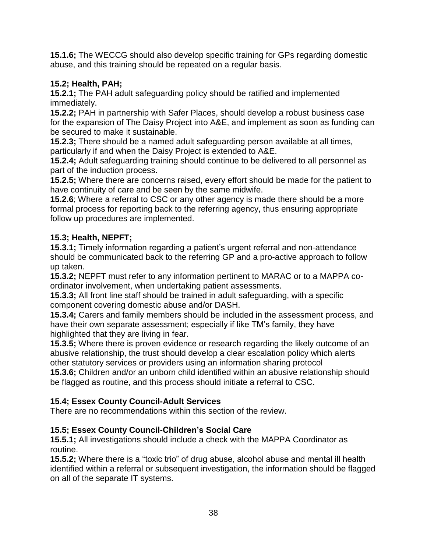**15.1.6;** The WECCG should also develop specific training for GPs regarding domestic abuse, and this training should be repeated on a regular basis.

### **15.2; Health, PAH;**

**15.2.1;** The PAH adult safeguarding policy should be ratified and implemented immediately.

**15.2.2;** PAH in partnership with Safer Places, should develop a robust business case for the expansion of The Daisy Project into A&E, and implement as soon as funding can be secured to make it sustainable.

**15.2.3;** There should be a named adult safeguarding person available at all times, particularly if and when the Daisy Project is extended to A&E.

**15.2.4;** Adult safeguarding training should continue to be delivered to all personnel as part of the induction process.

**15.2.5;** Where there are concerns raised, every effort should be made for the patient to have continuity of care and be seen by the same midwife.

**15.2.6**; Where a referral to CSC or any other agency is made there should be a more formal process for reporting back to the referring agency, thus ensuring appropriate follow up procedures are implemented.

### **15.3; Health, NEPFT;**

**15.3.1;** Timely information regarding a patient's urgent referral and non-attendance should be communicated back to the referring GP and a pro-active approach to follow up taken.

**15.3.2;** NEPFT must refer to any information pertinent to MARAC or to a MAPPA coordinator involvement, when undertaking patient assessments.

**15.3.3;** All front line staff should be trained in adult safeguarding, with a specific component covering domestic abuse and/or DASH.

**15.3.4;** Carers and family members should be included in the assessment process, and have their own separate assessment; especially if like TM's family, they have highlighted that they are living in fear.

**15.3.5;** Where there is proven evidence or research regarding the likely outcome of an abusive relationship, the trust should develop a clear escalation policy which alerts other statutory services or providers using an information sharing protocol

**15.3.6;** Children and/or an unborn child identified within an abusive relationship should be flagged as routine, and this process should initiate a referral to CSC.

### **15.4; Essex County Council-Adult Services**

There are no recommendations within this section of the review.

### **15.5; Essex County Council-Children's Social Care**

**15.5.1;** All investigations should include a check with the MAPPA Coordinator as routine.

**15.5.2;** Where there is a "toxic trio" of drug abuse, alcohol abuse and mental ill health identified within a referral or subsequent investigation, the information should be flagged on all of the separate IT systems.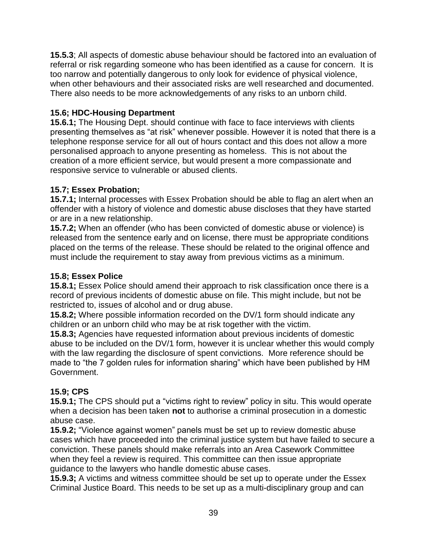**15.5.3**; All aspects of domestic abuse behaviour should be factored into an evaluation of referral or risk regarding someone who has been identified as a cause for concern. It is too narrow and potentially dangerous to only look for evidence of physical violence, when other behaviours and their associated risks are well researched and documented. There also needs to be more acknowledgements of any risks to an unborn child.

#### **15.6; HDC-Housing Department**

**15.6.1;** The Housing Dept. should continue with face to face interviews with clients presenting themselves as "at risk" whenever possible. However it is noted that there is a telephone response service for all out of hours contact and this does not allow a more personalised approach to anyone presenting as homeless. This is not about the creation of a more efficient service, but would present a more compassionate and responsive service to vulnerable or abused clients.

#### **15.7; Essex Probation;**

**15.7.1;** Internal processes with Essex Probation should be able to flag an alert when an offender with a history of violence and domestic abuse discloses that they have started or are in a new relationship.

**15.7.2;** When an offender (who has been convicted of domestic abuse or violence) is released from the sentence early and on license, there must be appropriate conditions placed on the terms of the release. These should be related to the original offence and must include the requirement to stay away from previous victims as a minimum.

### **15.8; Essex Police**

**15.8.1;** Essex Police should amend their approach to risk classification once there is a record of previous incidents of domestic abuse on file. This might include, but not be restricted to, issues of alcohol and or drug abuse.

**15.8.2;** Where possible information recorded on the DV/1 form should indicate any children or an unborn child who may be at risk together with the victim.

**15.8.3;** Agencies have requested information about previous incidents of domestic abuse to be included on the DV/1 form, however it is unclear whether this would comply with the law regarding the disclosure of spent convictions. More reference should be made to "the 7 golden rules for information sharing" which have been published by HM Government.

### **15.9; CPS**

**15.9.1;** The CPS should put a "victims right to review" policy in situ. This would operate when a decision has been taken **not** to authorise a criminal prosecution in a domestic abuse case.

**15.9.2;** "Violence against women" panels must be set up to review domestic abuse cases which have proceeded into the criminal justice system but have failed to secure a conviction. These panels should make referrals into an Area Casework Committee when they feel a review is required. This committee can then issue appropriate guidance to the lawyers who handle domestic abuse cases.

**15.9.3;** A victims and witness committee should be set up to operate under the Essex Criminal Justice Board. This needs to be set up as a multi-disciplinary group and can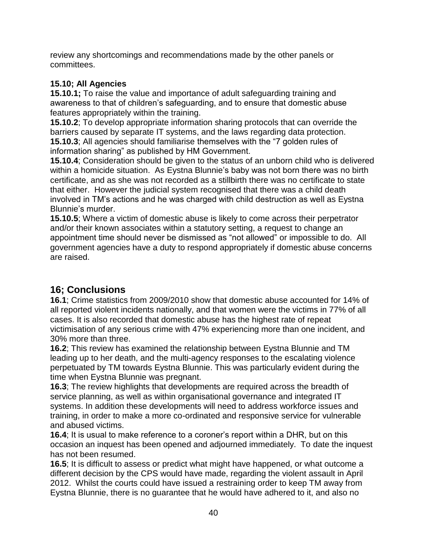review any shortcomings and recommendations made by the other panels or committees.

### **15.10; All Agencies**

**15.10.1;** To raise the value and importance of adult safeguarding training and awareness to that of children's safeguarding, and to ensure that domestic abuse features appropriately within the training.

**15.10.2**; To develop appropriate information sharing protocols that can override the barriers caused by separate IT systems, and the laws regarding data protection. **15.10.3**; All agencies should familiarise themselves with the "7 golden rules of information sharing" as published by HM Government.

**15.10.4**; Consideration should be given to the status of an unborn child who is delivered within a homicide situation. As Eystna Blunnie's baby was not born there was no birth certificate, and as she was not recorded as a stillbirth there was no certificate to state that either. However the judicial system recognised that there was a child death involved in TM's actions and he was charged with child destruction as well as Eystna Blunnie's murder.

**15.10.5**; Where a victim of domestic abuse is likely to come across their perpetrator and/or their known associates within a statutory setting, a request to change an appointment time should never be dismissed as "not allowed" or impossible to do. All government agencies have a duty to respond appropriately if domestic abuse concerns are raised.

# **16; Conclusions**

**16.1**; Crime statistics from 2009/2010 show that domestic abuse accounted for 14% of all reported violent incidents nationally, and that women were the victims in 77% of all cases. It is also recorded that domestic abuse has the highest rate of repeat victimisation of any serious crime with 47% experiencing more than one incident, and 30% more than three.

**16.2**; This review has examined the relationship between Eystna Blunnie and TM leading up to her death, and the multi-agency responses to the escalating violence perpetuated by TM towards Eystna Blunnie. This was particularly evident during the time when Eystna Blunnie was pregnant.

**16.3**; The review highlights that developments are required across the breadth of service planning, as well as within organisational governance and integrated IT systems. In addition these developments will need to address workforce issues and training, in order to make a more co-ordinated and responsive service for vulnerable and abused victims.

**16.4**; It is usual to make reference to a coroner's report within a DHR, but on this occasion an inquest has been opened and adjourned immediately. To date the inquest has not been resumed.

**16.5**; It is difficult to assess or predict what might have happened, or what outcome a different decision by the CPS would have made, regarding the violent assault in April 2012. Whilst the courts could have issued a restraining order to keep TM away from Eystna Blunnie, there is no guarantee that he would have adhered to it, and also no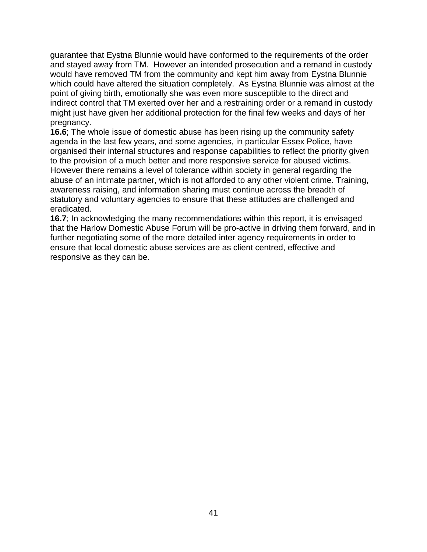guarantee that Eystna Blunnie would have conformed to the requirements of the order and stayed away from TM. However an intended prosecution and a remand in custody would have removed TM from the community and kept him away from Eystna Blunnie which could have altered the situation completely. As Eystna Blunnie was almost at the point of giving birth, emotionally she was even more susceptible to the direct and indirect control that TM exerted over her and a restraining order or a remand in custody might just have given her additional protection for the final few weeks and days of her pregnancy.

**16.6**; The whole issue of domestic abuse has been rising up the community safety agenda in the last few years, and some agencies, in particular Essex Police, have organised their internal structures and response capabilities to reflect the priority given to the provision of a much better and more responsive service for abused victims. However there remains a level of tolerance within society in general regarding the abuse of an intimate partner, which is not afforded to any other violent crime. Training, awareness raising, and information sharing must continue across the breadth of statutory and voluntary agencies to ensure that these attitudes are challenged and eradicated.

**16.7**; In acknowledging the many recommendations within this report, it is envisaged that the Harlow Domestic Abuse Forum will be pro-active in driving them forward, and in further negotiating some of the more detailed inter agency requirements in order to ensure that local domestic abuse services are as client centred, effective and responsive as they can be.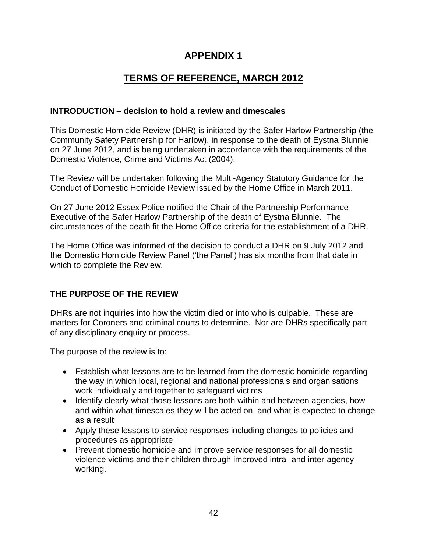### **APPENDIX 1**

# **TERMS OF REFERENCE, MARCH 2012**

#### **INTRODUCTION – decision to hold a review and timescales**

This Domestic Homicide Review (DHR) is initiated by the Safer Harlow Partnership (the Community Safety Partnership for Harlow), in response to the death of Eystna Blunnie on 27 June 2012, and is being undertaken in accordance with the requirements of the Domestic Violence, Crime and Victims Act (2004).

The Review will be undertaken following the Multi-Agency Statutory Guidance for the Conduct of Domestic Homicide Review issued by the Home Office in March 2011.

On 27 June 2012 Essex Police notified the Chair of the Partnership Performance Executive of the Safer Harlow Partnership of the death of Eystna Blunnie.The circumstances of the death fit the Home Office criteria for the establishment of a DHR.

The Home Office was informed of the decision to conduct a DHR on 9 July 2012 and the Domestic Homicide Review Panel ('the Panel') has six months from that date in which to complete the Review.

#### **THE PURPOSE OF THE REVIEW**

DHRs are not inquiries into how the victim died or into who is culpable. These are matters for Coroners and criminal courts to determine. Nor are DHRs specifically part of any disciplinary enquiry or process.

The purpose of the review is to:

- Establish what lessons are to be learned from the domestic homicide regarding the way in which local, regional and national professionals and organisations work individually and together to safeguard victims
- Identify clearly what those lessons are both within and between agencies, how and within what timescales they will be acted on, and what is expected to change as a result
- Apply these lessons to service responses including changes to policies and procedures as appropriate
- Prevent domestic homicide and improve service responses for all domestic violence victims and their children through improved intra- and inter-agency working.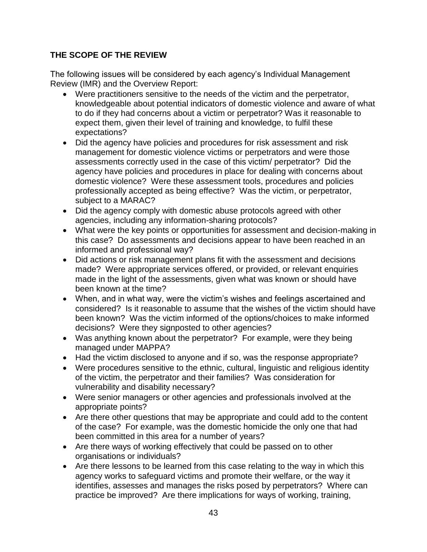### **THE SCOPE OF THE REVIEW**

The following issues will be considered by each agency's Individual Management Review (IMR) and the Overview Report:

- Were practitioners sensitive to the needs of the victim and the perpetrator, knowledgeable about potential indicators of domestic violence and aware of what to do if they had concerns about a victim or perpetrator? Was it reasonable to expect them, given their level of training and knowledge, to fulfil these expectations?
- Did the agency have policies and procedures for risk assessment and risk management for domestic violence victims or perpetrators and were those assessments correctly used in the case of this victim/ perpetrator? Did the agency have policies and procedures in place for dealing with concerns about domestic violence? Were these assessment tools, procedures and policies professionally accepted as being effective? Was the victim, or perpetrator, subject to a MARAC?
- Did the agency comply with domestic abuse protocols agreed with other agencies, including any information-sharing protocols?
- What were the key points or opportunities for assessment and decision-making in this case? Do assessments and decisions appear to have been reached in an informed and professional way?
- Did actions or risk management plans fit with the assessment and decisions made? Were appropriate services offered, or provided, or relevant enquiries made in the light of the assessments, given what was known or should have been known at the time?
- When, and in what way, were the victim's wishes and feelings ascertained and considered? Is it reasonable to assume that the wishes of the victim should have been known? Was the victim informed of the options/choices to make informed decisions? Were they signposted to other agencies?
- Was anything known about the perpetrator? For example, were they being managed under MAPPA?
- Had the victim disclosed to anyone and if so, was the response appropriate?
- Were procedures sensitive to the ethnic, cultural, linguistic and religious identity of the victim, the perpetrator and their families? Was consideration for vulnerability and disability necessary?
- Were senior managers or other agencies and professionals involved at the appropriate points?
- Are there other questions that may be appropriate and could add to the content of the case? For example, was the domestic homicide the only one that had been committed in this area for a number of years?
- Are there ways of working effectively that could be passed on to other organisations or individuals?
- Are there lessons to be learned from this case relating to the way in which this agency works to safeguard victims and promote their welfare, or the way it identifies, assesses and manages the risks posed by perpetrators? Where can practice be improved? Are there implications for ways of working, training,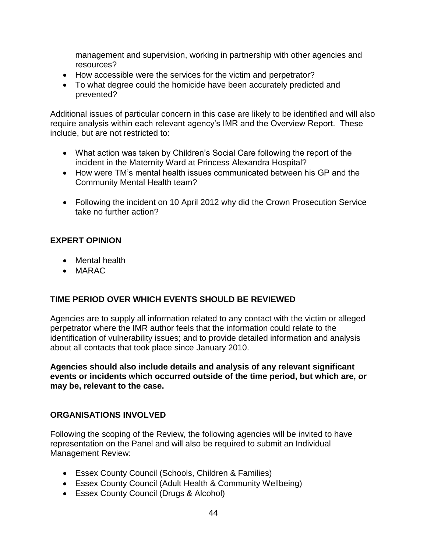management and supervision, working in partnership with other agencies and resources?

- How accessible were the services for the victim and perpetrator?
- To what degree could the homicide have been accurately predicted and prevented?

Additional issues of particular concern in this case are likely to be identified and will also require analysis within each relevant agency's IMR and the Overview Report. These include, but are not restricted to:

- What action was taken by Children's Social Care following the report of the incident in the Maternity Ward at Princess Alexandra Hospital?
- How were TM's mental health issues communicated between his GP and the Community Mental Health team?
- Following the incident on 10 April 2012 why did the Crown Prosecution Service take no further action?

#### **EXPERT OPINION**

- Mental health
- MARAC

#### **TIME PERIOD OVER WHICH EVENTS SHOULD BE REVIEWED**

Agencies are to supply all information related to any contact with the victim or alleged perpetrator where the IMR author feels that the information could relate to the identification of vulnerability issues; and to provide detailed information and analysis about all contacts that took place since January 2010.

**Agencies should also include details and analysis of any relevant significant events or incidents which occurred outside of the time period, but which are, or may be, relevant to the case.**

#### **ORGANISATIONS INVOLVED**

Following the scoping of the Review, the following agencies will be invited to have representation on the Panel and will also be required to submit an Individual Management Review:

- Essex County Council (Schools, Children & Families)
- Essex County Council (Adult Health & Community Wellbeing)
- Essex County Council (Drugs & Alcohol)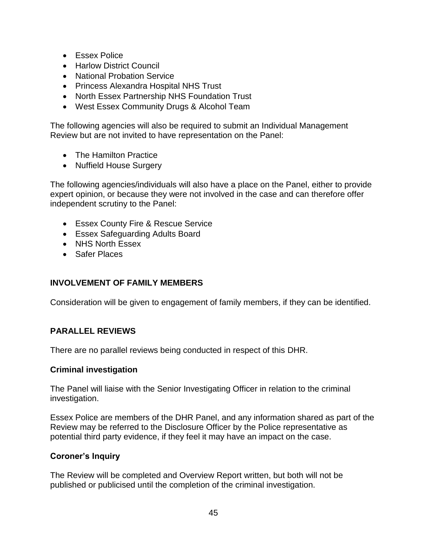- **•** Essex Police
- Harlow District Council
- National Probation Service
- Princess Alexandra Hospital NHS Trust
- North Essex Partnership NHS Foundation Trust
- West Essex Community Drugs & Alcohol Team

The following agencies will also be required to submit an Individual Management Review but are not invited to have representation on the Panel:

- The Hamilton Practice
- Nuffield House Surgery

The following agencies/individuals will also have a place on the Panel, either to provide expert opinion, or because they were not involved in the case and can therefore offer independent scrutiny to the Panel:

- Essex County Fire & Rescue Service
- Essex Safeguarding Adults Board
- NHS North Essex
- Safer Places

#### **INVOLVEMENT OF FAMILY MEMBERS**

Consideration will be given to engagement of family members, if they can be identified.

#### **PARALLEL REVIEWS**

There are no parallel reviews being conducted in respect of this DHR.

#### **Criminal investigation**

The Panel will liaise with the Senior Investigating Officer in relation to the criminal investigation.

Essex Police are members of the DHR Panel, and any information shared as part of the Review may be referred to the Disclosure Officer by the Police representative as potential third party evidence, if they feel it may have an impact on the case.

#### **Coroner's Inquiry**

The Review will be completed and Overview Report written, but both will not be published or publicised until the completion of the criminal investigation.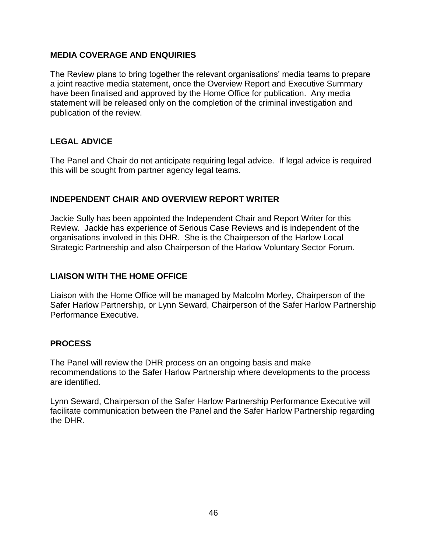#### **MEDIA COVERAGE AND ENQUIRIES**

The Review plans to bring together the relevant organisations' media teams to prepare a joint reactive media statement, once the Overview Report and Executive Summary have been finalised and approved by the Home Office for publication. Any media statement will be released only on the completion of the criminal investigation and publication of the review.

#### **LEGAL ADVICE**

The Panel and Chair do not anticipate requiring legal advice. If legal advice is required this will be sought from partner agency legal teams.

#### **INDEPENDENT CHAIR AND OVERVIEW REPORT WRITER**

Jackie Sully has been appointed the Independent Chair and Report Writer for this Review. Jackie has experience of Serious Case Reviews and is independent of the organisations involved in this DHR. She is the Chairperson of the Harlow Local Strategic Partnership and also Chairperson of the Harlow Voluntary Sector Forum.

#### **LIAISON WITH THE HOME OFFICE**

Liaison with the Home Office will be managed by Malcolm Morley, Chairperson of the Safer Harlow Partnership, or Lynn Seward, Chairperson of the Safer Harlow Partnership Performance Executive.

#### **PROCESS**

The Panel will review the DHR process on an ongoing basis and make recommendations to the Safer Harlow Partnership where developments to the process are identified.

Lynn Seward, Chairperson of the Safer Harlow Partnership Performance Executive will facilitate communication between the Panel and the Safer Harlow Partnership regarding the DHR.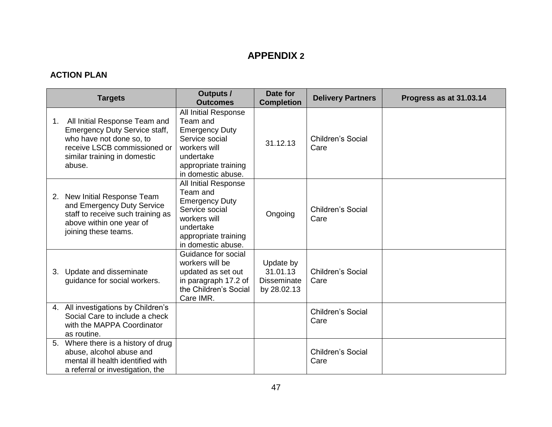# **APPENDIX 2**

### **ACTION PLAN**

|                | <b>Targets</b>                                                                                                                                                              | <b>Outputs /</b><br><b>Outcomes</b>                                                                                                                    | Date for<br><b>Completion</b>                              | <b>Delivery Partners</b>         | Progress as at 31.03.14 |
|----------------|-----------------------------------------------------------------------------------------------------------------------------------------------------------------------------|--------------------------------------------------------------------------------------------------------------------------------------------------------|------------------------------------------------------------|----------------------------------|-------------------------|
| 1 <sub>1</sub> | All Initial Response Team and<br><b>Emergency Duty Service staff,</b><br>who have not done so, to<br>receive LSCB commissioned or<br>similar training in domestic<br>abuse. | All Initial Response<br>Team and<br><b>Emergency Duty</b><br>Service social<br>workers will<br>undertake<br>appropriate training<br>in domestic abuse. | 31.12.13                                                   | <b>Children's Social</b><br>Care |                         |
| 2.             | New Initial Response Team<br>and Emergency Duty Service<br>staff to receive such training as<br>above within one year of<br>joining these teams.                            | All Initial Response<br>Team and<br><b>Emergency Duty</b><br>Service social<br>workers will<br>undertake<br>appropriate training<br>in domestic abuse. | Ongoing                                                    | <b>Children's Social</b><br>Care |                         |
|                | 3. Update and disseminate<br>guidance for social workers.                                                                                                                   | Guidance for social<br>workers will be<br>updated as set out<br>in paragraph 17.2 of<br>the Children's Social<br>Care IMR.                             | Update by<br>31.01.13<br><b>Disseminate</b><br>by 28.02.13 | Children's Social<br>Care        |                         |
|                | 4. All investigations by Children's<br>Social Care to include a check<br>with the MAPPA Coordinator<br>as routine.                                                          |                                                                                                                                                        |                                                            | Children's Social<br>Care        |                         |
|                | 5. Where there is a history of drug<br>abuse, alcohol abuse and<br>mental ill health identified with<br>a referral or investigation, the                                    |                                                                                                                                                        |                                                            | <b>Children's Social</b><br>Care |                         |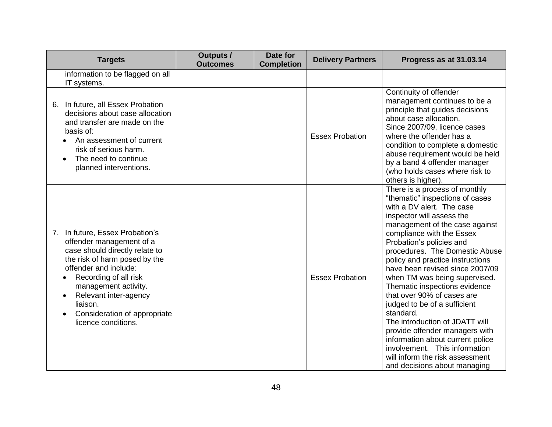| <b>Targets</b>                                                                                                                                                                                                                                                                                       | <b>Outputs /</b><br><b>Outcomes</b> | Date for<br><b>Completion</b> | <b>Delivery Partners</b> | Progress as at 31.03.14                                                                                                                                                                                                                                                                                                                                                                                                                                                                                                                                                                                                                                                                 |
|------------------------------------------------------------------------------------------------------------------------------------------------------------------------------------------------------------------------------------------------------------------------------------------------------|-------------------------------------|-------------------------------|--------------------------|-----------------------------------------------------------------------------------------------------------------------------------------------------------------------------------------------------------------------------------------------------------------------------------------------------------------------------------------------------------------------------------------------------------------------------------------------------------------------------------------------------------------------------------------------------------------------------------------------------------------------------------------------------------------------------------------|
| information to be flagged on all<br>IT systems.                                                                                                                                                                                                                                                      |                                     |                               |                          |                                                                                                                                                                                                                                                                                                                                                                                                                                                                                                                                                                                                                                                                                         |
| 6. In future, all Essex Probation<br>decisions about case allocation<br>and transfer are made on the<br>basis of:<br>An assessment of current<br>risk of serious harm.<br>The need to continue<br>planned interventions.                                                                             |                                     |                               | <b>Essex Probation</b>   | Continuity of offender<br>management continues to be a<br>principle that guides decisions<br>about case allocation.<br>Since 2007/09, licence cases<br>where the offender has a<br>condition to complete a domestic<br>abuse requirement would be held<br>by a band 4 offender manager<br>(who holds cases where risk to<br>others is higher).                                                                                                                                                                                                                                                                                                                                          |
| 7. In future, Essex Probation's<br>offender management of a<br>case should directly relate to<br>the risk of harm posed by the<br>offender and include:<br>Recording of all risk<br>management activity.<br>Relevant inter-agency<br>liaison.<br>Consideration of appropriate<br>licence conditions. |                                     |                               | <b>Essex Probation</b>   | There is a process of monthly<br>"thematic" inspections of cases<br>with a DV alert. The case<br>inspector will assess the<br>management of the case against<br>compliance with the Essex<br>Probation's policies and<br>procedures. The Domestic Abuse<br>policy and practice instructions<br>have been revised since 2007/09<br>when TM was being supervised.<br>Thematic inspections evidence<br>that over 90% of cases are<br>judged to be of a sufficient<br>standard.<br>The introduction of JDATT will<br>provide offender managers with<br>information about current police<br>involvement. This information<br>will inform the risk assessment<br>and decisions about managing |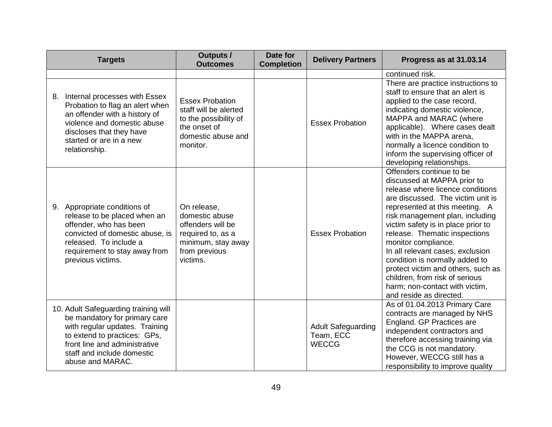| <b>Targets</b>                                                                                                                                                                                                             | <b>Outputs /</b><br><b>Outcomes</b>                                                                                        | Date for<br><b>Completion</b> | <b>Delivery Partners</b>                               | Progress as at 31.03.14                                                                                                                                                                                                                                                                                                                                                                                                                                                                                        |
|----------------------------------------------------------------------------------------------------------------------------------------------------------------------------------------------------------------------------|----------------------------------------------------------------------------------------------------------------------------|-------------------------------|--------------------------------------------------------|----------------------------------------------------------------------------------------------------------------------------------------------------------------------------------------------------------------------------------------------------------------------------------------------------------------------------------------------------------------------------------------------------------------------------------------------------------------------------------------------------------------|
|                                                                                                                                                                                                                            |                                                                                                                            |                               |                                                        | continued risk.                                                                                                                                                                                                                                                                                                                                                                                                                                                                                                |
| Internal processes with Essex<br>8.<br>Probation to flag an alert when<br>an offender with a history of<br>violence and domestic abuse<br>discloses that they have<br>started or are in a new<br>relationship.             | <b>Essex Probation</b><br>staff will be alerted<br>to the possibility of<br>the onset of<br>domestic abuse and<br>monitor. |                               | <b>Essex Probation</b>                                 | There are practice instructions to<br>staff to ensure that an alert is<br>applied to the case record,<br>indicating domestic violence,<br>MAPPA and MARAC (where<br>applicable). Where cases dealt<br>with in the MAPPA arena,<br>normally a licence condition to<br>inform the supervising officer of<br>developing relationships.                                                                                                                                                                            |
| 9. Appropriate conditions of<br>release to be placed when an<br>offender, who has been<br>convicted of domestic abuse, is<br>released. To include a<br>requirement to stay away from<br>previous victims.                  | On release,<br>domestic abuse<br>offenders will be<br>required to, as a<br>minimum, stay away<br>from previous<br>victims. |                               | <b>Essex Probation</b>                                 | Offenders continue to be<br>discussed at MAPPA prior to<br>release where licence conditions<br>are discussed. The victim unit is<br>represented at this meeting. A<br>risk management plan, including<br>victim safety is in place prior to<br>release. Thematic inspections<br>monitor compliance.<br>In all relevant cases, exclusion<br>condition is normally added to<br>protect victim and others, such as<br>children, from risk of serious<br>harm; non-contact with victim,<br>and reside as directed. |
| 10. Adult Safeguarding training will<br>be mandatory for primary care<br>with regular updates. Training<br>to extend to practices: GPs,<br>front line and administrative<br>staff and include domestic<br>abuse and MARAC. |                                                                                                                            |                               | <b>Adult Safeguarding</b><br>Team, ECC<br><b>WECCG</b> | As of 01.04.2013 Primary Care<br>contracts are managed by NHS<br>England. GP Practices are<br>independent contractors and<br>therefore accessing training via<br>the CCG is not mandatory.<br>However, WECCG still has a<br>responsibility to improve quality                                                                                                                                                                                                                                                  |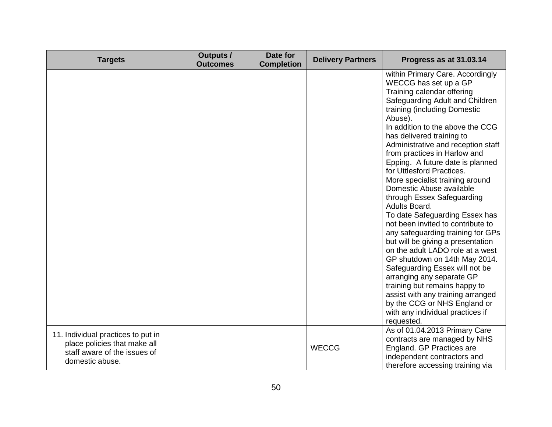| <b>Targets</b>                                                                                                        | <b>Outputs /</b><br><b>Outcomes</b> | Date for<br><b>Completion</b> | <b>Delivery Partners</b> | Progress as at 31.03.14                                                                                                                                                                                                                                                                                                                                                                                                                                                                                                                                                                                                                                                                                                                                                                                                                                                                                                                  |
|-----------------------------------------------------------------------------------------------------------------------|-------------------------------------|-------------------------------|--------------------------|------------------------------------------------------------------------------------------------------------------------------------------------------------------------------------------------------------------------------------------------------------------------------------------------------------------------------------------------------------------------------------------------------------------------------------------------------------------------------------------------------------------------------------------------------------------------------------------------------------------------------------------------------------------------------------------------------------------------------------------------------------------------------------------------------------------------------------------------------------------------------------------------------------------------------------------|
|                                                                                                                       |                                     |                               |                          | within Primary Care. Accordingly<br>WECCG has set up a GP<br>Training calendar offering<br>Safeguarding Adult and Children<br>training (including Domestic<br>Abuse).<br>In addition to the above the CCG<br>has delivered training to<br>Administrative and reception staff<br>from practices in Harlow and<br>Epping. A future date is planned<br>for Uttlesford Practices.<br>More specialist training around<br>Domestic Abuse available<br>through Essex Safeguarding<br>Adults Board.<br>To date Safeguarding Essex has<br>not been invited to contribute to<br>any safeguarding training for GPs<br>but will be giving a presentation<br>on the adult LADO role at a west<br>GP shutdown on 14th May 2014.<br>Safeguarding Essex will not be<br>arranging any separate GP<br>training but remains happy to<br>assist with any training arranged<br>by the CCG or NHS England or<br>with any individual practices if<br>requested. |
| 11. Individual practices to put in<br>place policies that make all<br>staff aware of the issues of<br>domestic abuse. |                                     |                               | <b>WECCG</b>             | As of 01.04.2013 Primary Care<br>contracts are managed by NHS<br>England. GP Practices are<br>independent contractors and<br>therefore accessing training via                                                                                                                                                                                                                                                                                                                                                                                                                                                                                                                                                                                                                                                                                                                                                                            |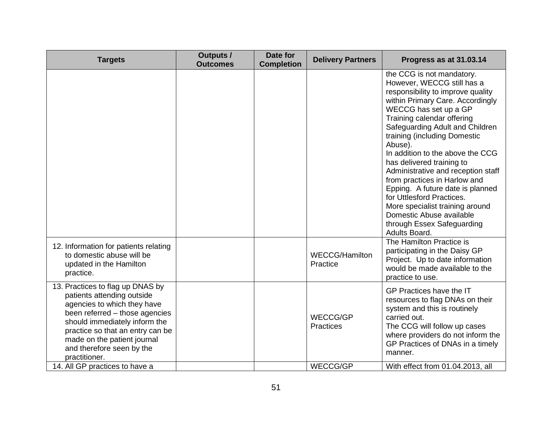| <b>Targets</b>                                                                                                                                                                                                                                                                    | <b>Outputs /</b><br><b>Outcomes</b> | Date for<br><b>Completion</b> | <b>Delivery Partners</b>          | Progress as at 31.03.14                                                                                                                                                                                                                                                                                                                                                                                                                                                                                                                                                                     |
|-----------------------------------------------------------------------------------------------------------------------------------------------------------------------------------------------------------------------------------------------------------------------------------|-------------------------------------|-------------------------------|-----------------------------------|---------------------------------------------------------------------------------------------------------------------------------------------------------------------------------------------------------------------------------------------------------------------------------------------------------------------------------------------------------------------------------------------------------------------------------------------------------------------------------------------------------------------------------------------------------------------------------------------|
|                                                                                                                                                                                                                                                                                   |                                     |                               |                                   | the CCG is not mandatory.<br>However, WECCG still has a<br>responsibility to improve quality<br>within Primary Care. Accordingly<br>WECCG has set up a GP<br>Training calendar offering<br>Safeguarding Adult and Children<br>training (including Domestic<br>Abuse).<br>In addition to the above the CCG<br>has delivered training to<br>Administrative and reception staff<br>from practices in Harlow and<br>Epping. A future date is planned<br>for Uttlesford Practices.<br>More specialist training around<br>Domestic Abuse available<br>through Essex Safeguarding<br>Adults Board. |
| 12. Information for patients relating<br>to domestic abuse will be<br>updated in the Hamilton<br>practice.                                                                                                                                                                        |                                     |                               | <b>WECCG/Hamilton</b><br>Practice | The Hamilton Practice is<br>participating in the Daisy GP<br>Project. Up to date information<br>would be made available to the<br>practice to use.                                                                                                                                                                                                                                                                                                                                                                                                                                          |
| 13. Practices to flag up DNAS by<br>patients attending outside<br>agencies to which they have<br>been referred - those agencies<br>should immediately inform the<br>practice so that an entry can be<br>made on the patient journal<br>and therefore seen by the<br>practitioner. |                                     |                               | <b>WECCG/GP</b><br>Practices      | GP Practices have the IT<br>resources to flag DNAs on their<br>system and this is routinely<br>carried out.<br>The CCG will follow up cases<br>where providers do not inform the<br>GP Practices of DNAs in a timely<br>manner.                                                                                                                                                                                                                                                                                                                                                             |
| 14. All GP practices to have a                                                                                                                                                                                                                                                    |                                     |                               | <b>WECCG/GP</b>                   | With effect from 01.04.2013, all                                                                                                                                                                                                                                                                                                                                                                                                                                                                                                                                                            |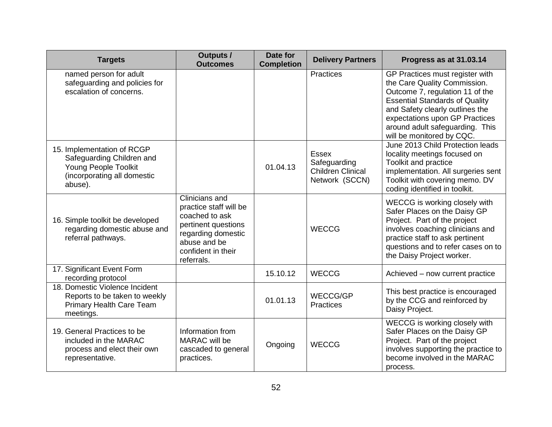| <b>Targets</b>                                                                                                            | <b>Outputs /</b><br><b>Outcomes</b>                                                                                                                         | Date for<br><b>Completion</b> | <b>Delivery Partners</b>                                                   | Progress as at 31.03.14                                                                                                                                                                                                                                                          |
|---------------------------------------------------------------------------------------------------------------------------|-------------------------------------------------------------------------------------------------------------------------------------------------------------|-------------------------------|----------------------------------------------------------------------------|----------------------------------------------------------------------------------------------------------------------------------------------------------------------------------------------------------------------------------------------------------------------------------|
| named person for adult<br>safeguarding and policies for<br>escalation of concerns.                                        |                                                                                                                                                             |                               | <b>Practices</b>                                                           | GP Practices must register with<br>the Care Quality Commission.<br>Outcome 7, regulation 11 of the<br><b>Essential Standards of Quality</b><br>and Safety clearly outlines the<br>expectations upon GP Practices<br>around adult safeguarding. This<br>will be monitored by CQC. |
| 15. Implementation of RCGP<br>Safeguarding Children and<br>Young People Toolkit<br>(incorporating all domestic<br>abuse). |                                                                                                                                                             | 01.04.13                      | <b>Essex</b><br>Safeguarding<br><b>Children Clinical</b><br>Network (SCCN) | June 2013 Child Protection leads<br>locality meetings focused on<br>Toolkit and practice<br>implementation. All surgeries sent<br>Toolkit with covering memo. DV<br>coding identified in toolkit.                                                                                |
| 16. Simple toolkit be developed<br>regarding domestic abuse and<br>referral pathways.                                     | Clinicians and<br>practice staff will be<br>coached to ask<br>pertinent questions<br>regarding domestic<br>abuse and be<br>confident in their<br>referrals. |                               | <b>WECCG</b>                                                               | WECCG is working closely with<br>Safer Places on the Daisy GP<br>Project. Part of the project<br>involves coaching clinicians and<br>practice staff to ask pertinent<br>questions and to refer cases on to<br>the Daisy Project worker.                                          |
| 17. Significant Event Form<br>recording protocol                                                                          |                                                                                                                                                             | 15.10.12                      | <b>WECCG</b>                                                               | Achieved - now current practice                                                                                                                                                                                                                                                  |
| 18. Domestic Violence Incident<br>Reports to be taken to weekly<br><b>Primary Health Care Team</b><br>meetings.           |                                                                                                                                                             | 01.01.13                      | WECCG/GP<br><b>Practices</b>                                               | This best practice is encouraged<br>by the CCG and reinforced by<br>Daisy Project.                                                                                                                                                                                               |
| 19. General Practices to be<br>included in the MARAC<br>process and elect their own<br>representative.                    | Information from<br>MARAC will be<br>cascaded to general<br>practices.                                                                                      | Ongoing                       | <b>WECCG</b>                                                               | WECCG is working closely with<br>Safer Places on the Daisy GP<br>Project. Part of the project<br>involves supporting the practice to<br>become involved in the MARAC<br>process.                                                                                                 |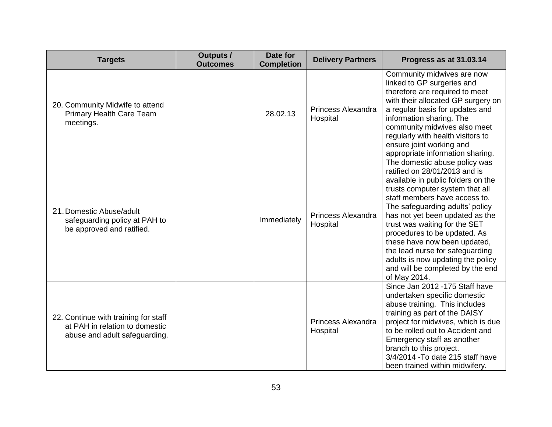| <b>Targets</b>                                                                                          | <b>Outputs /</b><br><b>Outcomes</b> | Date for<br><b>Completion</b> | <b>Delivery Partners</b>              | Progress as at 31.03.14                                                                                                                                                                                                                                                                                                                                                                                                                                                     |
|---------------------------------------------------------------------------------------------------------|-------------------------------------|-------------------------------|---------------------------------------|-----------------------------------------------------------------------------------------------------------------------------------------------------------------------------------------------------------------------------------------------------------------------------------------------------------------------------------------------------------------------------------------------------------------------------------------------------------------------------|
| 20. Community Midwife to attend<br><b>Primary Health Care Team</b><br>meetings.                         |                                     | 28.02.13                      | <b>Princess Alexandra</b><br>Hospital | Community midwives are now<br>linked to GP surgeries and<br>therefore are required to meet<br>with their allocated GP surgery on<br>a regular basis for updates and<br>information sharing. The<br>community midwives also meet<br>regularly with health visitors to<br>ensure joint working and<br>appropriate information sharing.                                                                                                                                        |
| 21. Domestic Abuse/adult<br>safeguarding policy at PAH to<br>be approved and ratified.                  |                                     | Immediately                   | Princess Alexandra<br>Hospital        | The domestic abuse policy was<br>ratified on 28/01/2013 and is<br>available in public folders on the<br>trusts computer system that all<br>staff members have access to.<br>The safeguarding adults' policy<br>has not yet been updated as the<br>trust was waiting for the SET<br>procedures to be updated. As<br>these have now been updated,<br>the lead nurse for safeguarding<br>adults is now updating the policy<br>and will be completed by the end<br>of May 2014. |
| 22. Continue with training for staff<br>at PAH in relation to domestic<br>abuse and adult safeguarding. |                                     |                               | <b>Princess Alexandra</b><br>Hospital | Since Jan 2012 -175 Staff have<br>undertaken specific domestic<br>abuse training. This includes<br>training as part of the DAISY<br>project for midwives, which is due<br>to be rolled out to Accident and<br>Emergency staff as another<br>branch to this project.<br>3/4/2014 - To date 215 staff have<br>been trained within midwifery.                                                                                                                                  |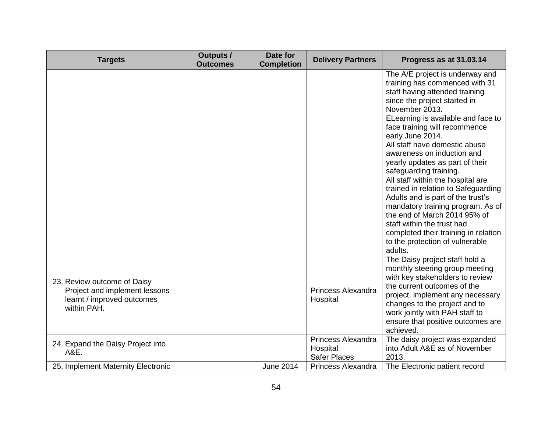| <b>Targets</b>                                                                                            | <b>Outputs /</b><br><b>Outcomes</b> | Date for<br><b>Completion</b> | <b>Delivery Partners</b>                                     | Progress as at 31.03.14                                                                                                                                                                                                                                                                                                                                                                                                                                                                                                                                                                                                                                                                |
|-----------------------------------------------------------------------------------------------------------|-------------------------------------|-------------------------------|--------------------------------------------------------------|----------------------------------------------------------------------------------------------------------------------------------------------------------------------------------------------------------------------------------------------------------------------------------------------------------------------------------------------------------------------------------------------------------------------------------------------------------------------------------------------------------------------------------------------------------------------------------------------------------------------------------------------------------------------------------------|
|                                                                                                           |                                     |                               |                                                              | The A/E project is underway and<br>training has commenced with 31<br>staff having attended training<br>since the project started in<br>November 2013.<br>ELearning is available and face to<br>face training will recommence<br>early June 2014.<br>All staff have domestic abuse<br>awareness on induction and<br>yearly updates as part of their<br>safeguarding training.<br>All staff within the hospital are<br>trained in relation to Safeguarding<br>Adults and is part of the trust's<br>mandatory training program. As of<br>the end of March 2014 95% of<br>staff within the trust had<br>completed their training in relation<br>to the protection of vulnerable<br>adults. |
| 23. Review outcome of Daisy<br>Project and implement lessons<br>learnt / improved outcomes<br>within PAH. |                                     |                               | Princess Alexandra<br>Hospital                               | The Daisy project staff hold a<br>monthly steering group meeting<br>with key stakeholders to review<br>the current outcomes of the<br>project, implement any necessary<br>changes to the project and to<br>work jointly with PAH staff to<br>ensure that positive outcomes are<br>achieved.                                                                                                                                                                                                                                                                                                                                                                                            |
| 24. Expand the Daisy Project into<br>A&E.                                                                 |                                     |                               | <b>Princess Alexandra</b><br>Hospital<br><b>Safer Places</b> | The daisy project was expanded<br>into Adult A&E as of November<br>2013.                                                                                                                                                                                                                                                                                                                                                                                                                                                                                                                                                                                                               |
| 25. Implement Maternity Electronic                                                                        |                                     | <b>June 2014</b>              | Princess Alexandra                                           | The Electronic patient record                                                                                                                                                                                                                                                                                                                                                                                                                                                                                                                                                                                                                                                          |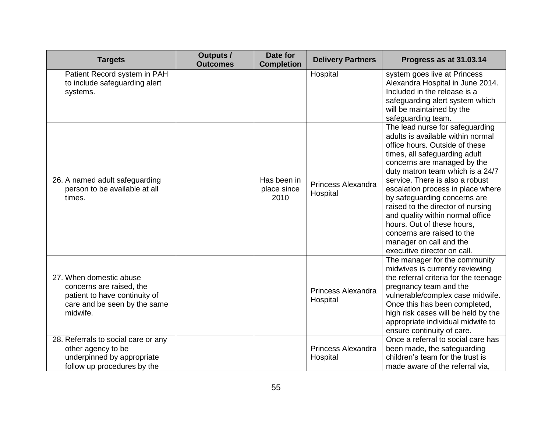| <b>Targets</b>                                                                                                                   | <b>Outputs /</b><br><b>Outcomes</b> | Date for<br><b>Completion</b>      | <b>Delivery Partners</b>       | Progress as at 31.03.14                                                                                                                                                                                                                                                                                                                                                                                                                                                                                           |
|----------------------------------------------------------------------------------------------------------------------------------|-------------------------------------|------------------------------------|--------------------------------|-------------------------------------------------------------------------------------------------------------------------------------------------------------------------------------------------------------------------------------------------------------------------------------------------------------------------------------------------------------------------------------------------------------------------------------------------------------------------------------------------------------------|
| Patient Record system in PAH<br>to include safeguarding alert<br>systems.                                                        |                                     |                                    | Hospital                       | system goes live at Princess<br>Alexandra Hospital in June 2014.<br>Included in the release is a<br>safeguarding alert system which<br>will be maintained by the<br>safeguarding team.                                                                                                                                                                                                                                                                                                                            |
| 26. A named adult safeguarding<br>person to be available at all<br>times.                                                        |                                     | Has been in<br>place since<br>2010 | Princess Alexandra<br>Hospital | The lead nurse for safeguarding<br>adults is available within normal<br>office hours. Outside of these<br>times, all safeguarding adult<br>concerns are managed by the<br>duty matron team which is a 24/7<br>service. There is also a robust<br>escalation process in place where<br>by safeguarding concerns are<br>raised to the director of nursing<br>and quality within normal office<br>hours. Out of these hours,<br>concerns are raised to the<br>manager on call and the<br>executive director on call. |
| 27. When domestic abuse<br>concerns are raised, the<br>patient to have continuity of<br>care and be seen by the same<br>midwife. |                                     |                                    | Princess Alexandra<br>Hospital | The manager for the community<br>midwives is currently reviewing<br>the referral criteria for the teenage<br>pregnancy team and the<br>vulnerable/complex case midwife.<br>Once this has been completed,<br>high risk cases will be held by the<br>appropriate individual midwife to<br>ensure continuity of care.                                                                                                                                                                                                |
| 28. Referrals to social care or any<br>other agency to be<br>underpinned by appropriate<br>follow up procedures by the           |                                     |                                    | Princess Alexandra<br>Hospital | Once a referral to social care has<br>been made, the safeguarding<br>children's team for the trust is<br>made aware of the referral via,                                                                                                                                                                                                                                                                                                                                                                          |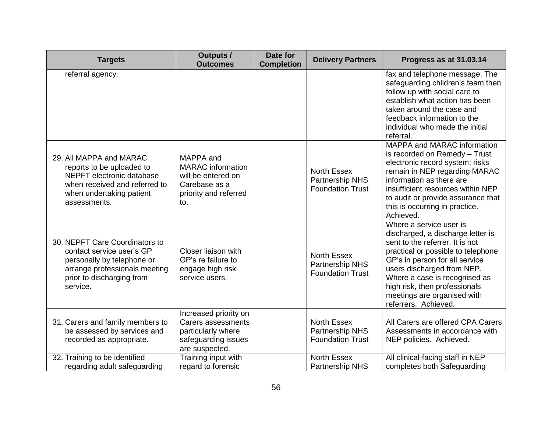| <b>Targets</b>                                                                                                                                                      | <b>Outputs /</b><br><b>Outcomes</b>                                                                          | Date for<br><b>Completion</b> | <b>Delivery Partners</b>                                         | Progress as at 31.03.14                                                                                                                                                                                                                                                                                                        |
|---------------------------------------------------------------------------------------------------------------------------------------------------------------------|--------------------------------------------------------------------------------------------------------------|-------------------------------|------------------------------------------------------------------|--------------------------------------------------------------------------------------------------------------------------------------------------------------------------------------------------------------------------------------------------------------------------------------------------------------------------------|
| referral agency.                                                                                                                                                    |                                                                                                              |                               |                                                                  | fax and telephone message. The<br>safeguarding children's team then<br>follow up with social care to<br>establish what action has been<br>taken around the case and<br>feedback information to the<br>individual who made the initial<br>referral.                                                                             |
| 29. All MAPPA and MARAC<br>reports to be uploaded to<br>NEPFT electronic database<br>when received and referred to<br>when undertaking patient<br>assessments.      | MAPPA and<br><b>MARAC</b> information<br>will be entered on<br>Carebase as a<br>priority and referred<br>to. |                               | North Essex<br>Partnership NHS<br><b>Foundation Trust</b>        | <b>MAPPA and MARAC information</b><br>is recorded on Remedy - Trust<br>electronic record system; risks<br>remain in NEP regarding MARAC<br>information as there are<br>insufficient resources within NEP<br>to audit or provide assurance that<br>this is occurring in practice.<br>Achieved.                                  |
| 30. NEPFT Care Coordinators to<br>contact service user's GP<br>personally by telephone or<br>arrange professionals meeting<br>prior to discharging from<br>service. | Closer liaison with<br>GP's re failure to<br>engage high risk<br>service users.                              |                               | <b>North Essex</b><br>Partnership NHS<br><b>Foundation Trust</b> | Where a service user is<br>discharged, a discharge letter is<br>sent to the referrer. It is not<br>practical or possible to telephone<br>GP's in person for all service<br>users discharged from NEP.<br>Where a case is recognised as<br>high risk, then professionals<br>meetings are organised with<br>referrers. Achieved. |
| 31. Carers and family members to<br>be assessed by services and<br>recorded as appropriate.                                                                         | Increased priority on<br>Carers assessments<br>particularly where<br>safeguarding issues<br>are suspected.   |                               | <b>North Essex</b><br>Partnership NHS<br><b>Foundation Trust</b> | All Carers are offered CPA Carers<br>Assessments in accordance with<br>NEP policies. Achieved.                                                                                                                                                                                                                                 |
| 32. Training to be identified<br>regarding adult safeguarding                                                                                                       | Training input with<br>regard to forensic                                                                    |                               | North Essex<br><b>Partnership NHS</b>                            | All clinical-facing staff in NEP<br>completes both Safeguarding                                                                                                                                                                                                                                                                |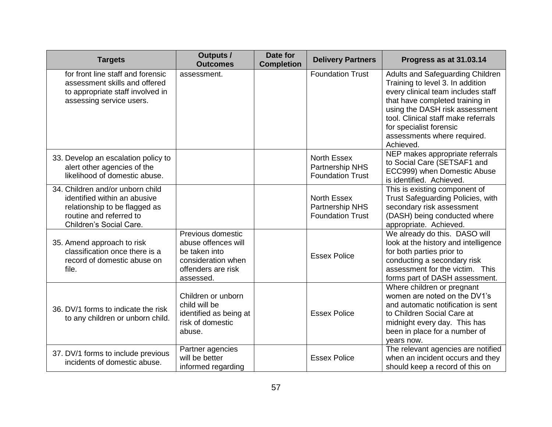| <b>Targets</b>                                                                                                                                          | <b>Outputs /</b><br><b>Outcomes</b>                                                                                | Date for<br><b>Completion</b> | <b>Delivery Partners</b>                                         | Progress as at 31.03.14                                                                                                                                                                                                                                                                       |
|---------------------------------------------------------------------------------------------------------------------------------------------------------|--------------------------------------------------------------------------------------------------------------------|-------------------------------|------------------------------------------------------------------|-----------------------------------------------------------------------------------------------------------------------------------------------------------------------------------------------------------------------------------------------------------------------------------------------|
| for front line staff and forensic<br>assessment skills and offered<br>to appropriate staff involved in<br>assessing service users.                      | assessment.                                                                                                        |                               | <b>Foundation Trust</b>                                          | Adults and Safeguarding Children<br>Training to level 3. In addition<br>every clinical team includes staff<br>that have completed training in<br>using the DASH risk assessment<br>tool. Clinical staff make referrals<br>for specialist forensic<br>assessments where required.<br>Achieved. |
| 33. Develop an escalation policy to<br>alert other agencies of the<br>likelihood of domestic abuse.                                                     |                                                                                                                    |                               | <b>North Essex</b><br>Partnership NHS<br><b>Foundation Trust</b> | NEP makes appropriate referrals<br>to Social Care (SETSAF1 and<br>ECC999) when Domestic Abuse<br>is identified. Achieved.                                                                                                                                                                     |
| 34. Children and/or unborn child<br>identified within an abusive<br>relationship to be flagged as<br>routine and referred to<br>Children's Social Care. |                                                                                                                    |                               | <b>North Essex</b><br>Partnership NHS<br><b>Foundation Trust</b> | This is existing component of<br>Trust Safeguarding Policies, with<br>secondary risk assessment<br>(DASH) being conducted where<br>appropriate. Achieved.                                                                                                                                     |
| 35. Amend approach to risk<br>classification once there is a<br>record of domestic abuse on<br>file.                                                    | Previous domestic<br>abuse offences will<br>be taken into<br>consideration when<br>offenders are risk<br>assessed. |                               | <b>Essex Police</b>                                              | We already do this. DASO will<br>look at the history and intelligence<br>for both parties prior to<br>conducting a secondary risk<br>assessment for the victim. This<br>forms part of DASH assessment.                                                                                        |
| 36. DV/1 forms to indicate the risk<br>to any children or unborn child.                                                                                 | Children or unborn<br>child will be<br>identified as being at<br>risk of domestic<br>abuse.                        |                               | <b>Essex Police</b>                                              | Where children or pregnant<br>women are noted on the DV1's<br>and automatic notification is sent<br>to Children Social Care at<br>midnight every day. This has<br>been in place for a number of<br>vears now.                                                                                 |
| 37. DV/1 forms to include previous<br>incidents of domestic abuse.                                                                                      | Partner agencies<br>will be better<br>informed regarding                                                           |                               | <b>Essex Police</b>                                              | The relevant agencies are notified<br>when an incident occurs and they<br>should keep a record of this on                                                                                                                                                                                     |